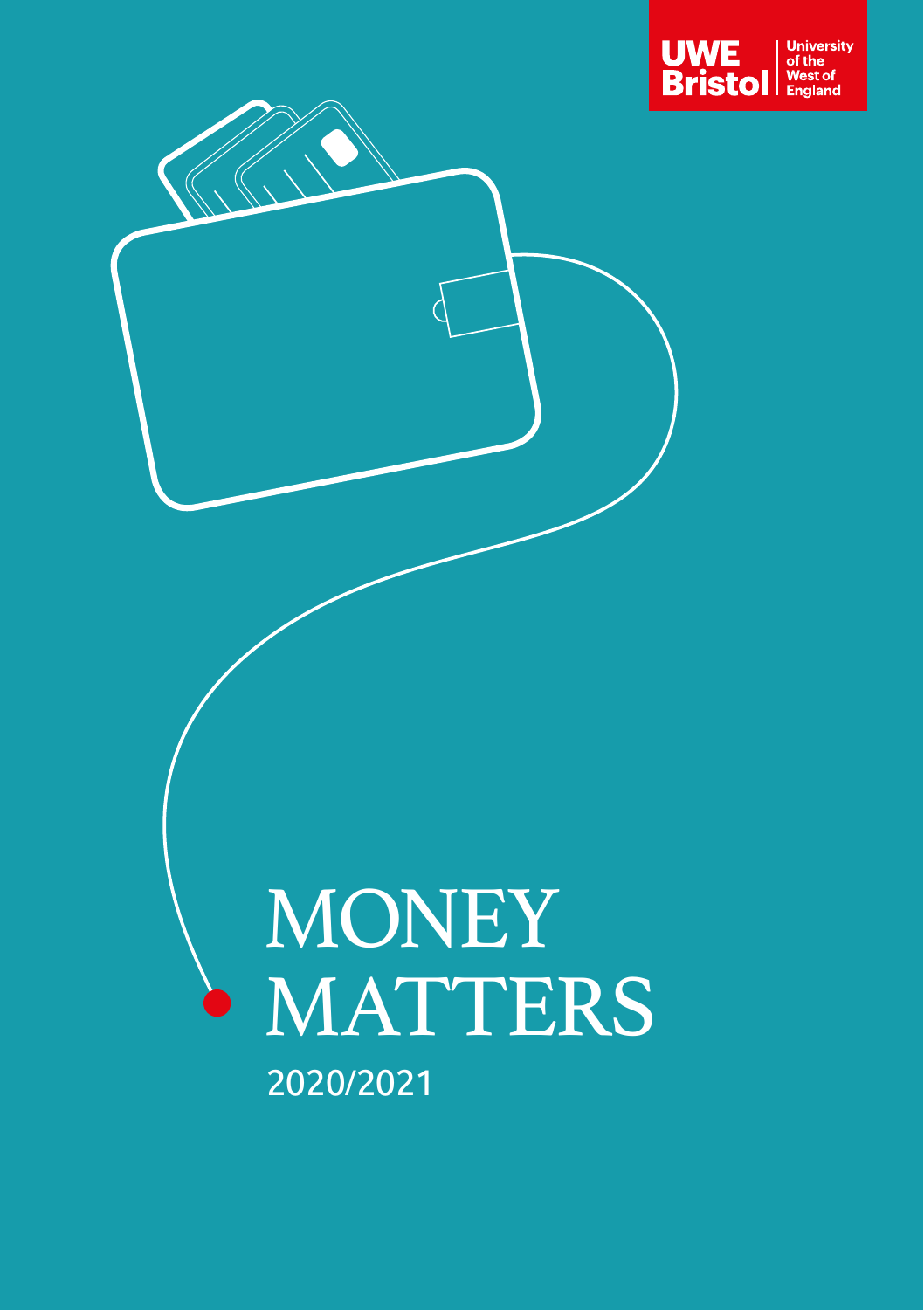

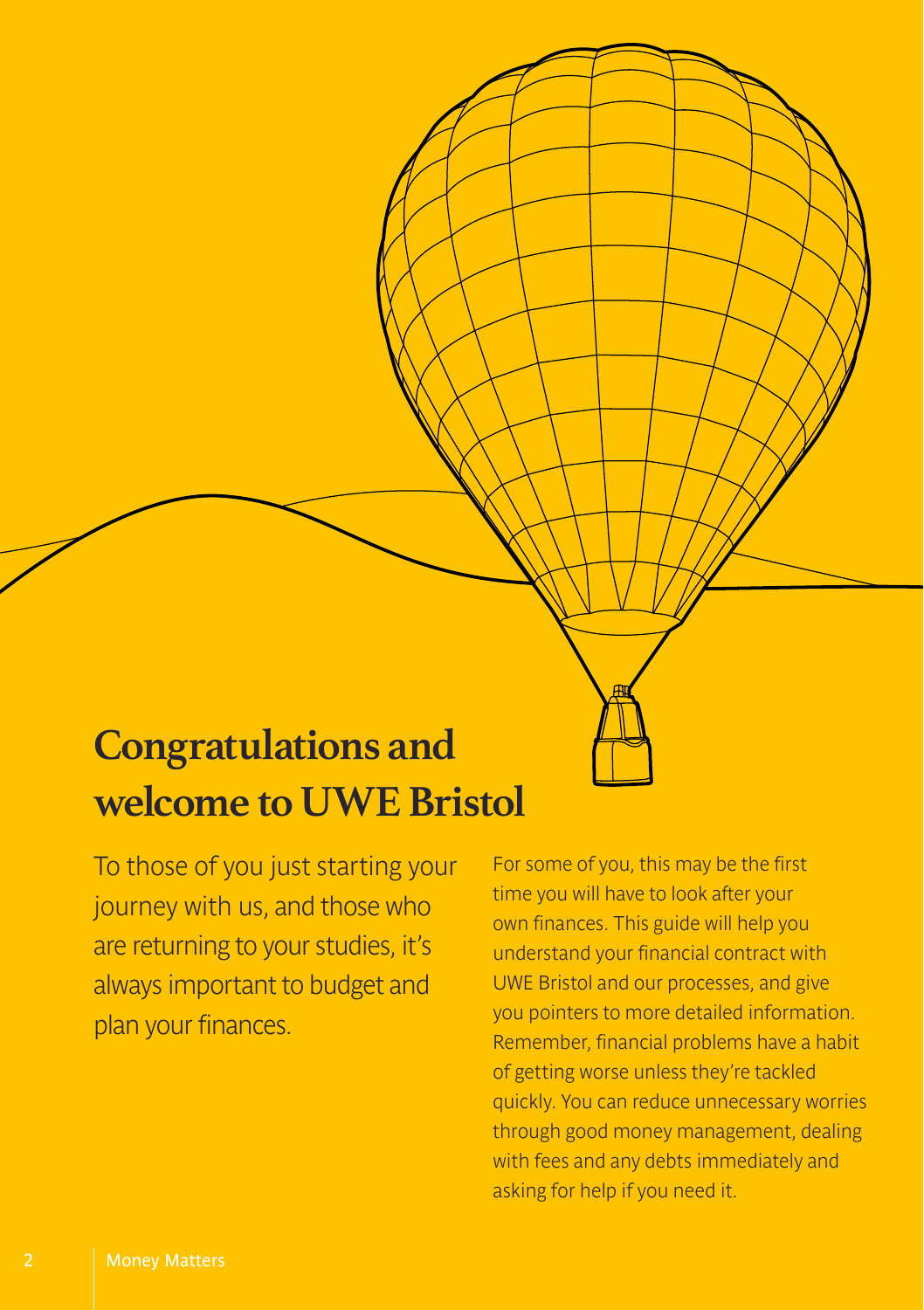## **Congratulations and welcome to UWE Bristol**

**To those of you just starting your journey with us, and those who are returning to your studies, it's always important to budget and plan your finances.**

**For some of you, this may be the first time you will have to look after your own finances. This guide will help you understand your financial contract with UWE Bristol and our processes, and give you pointers to more detailed information. Remember, financial problems have a habit of getting worse unless they're tackled quickly. You can reduce unnecessary worries through good money management, dealing with fees and any debts immediately and asking for help if you need it.**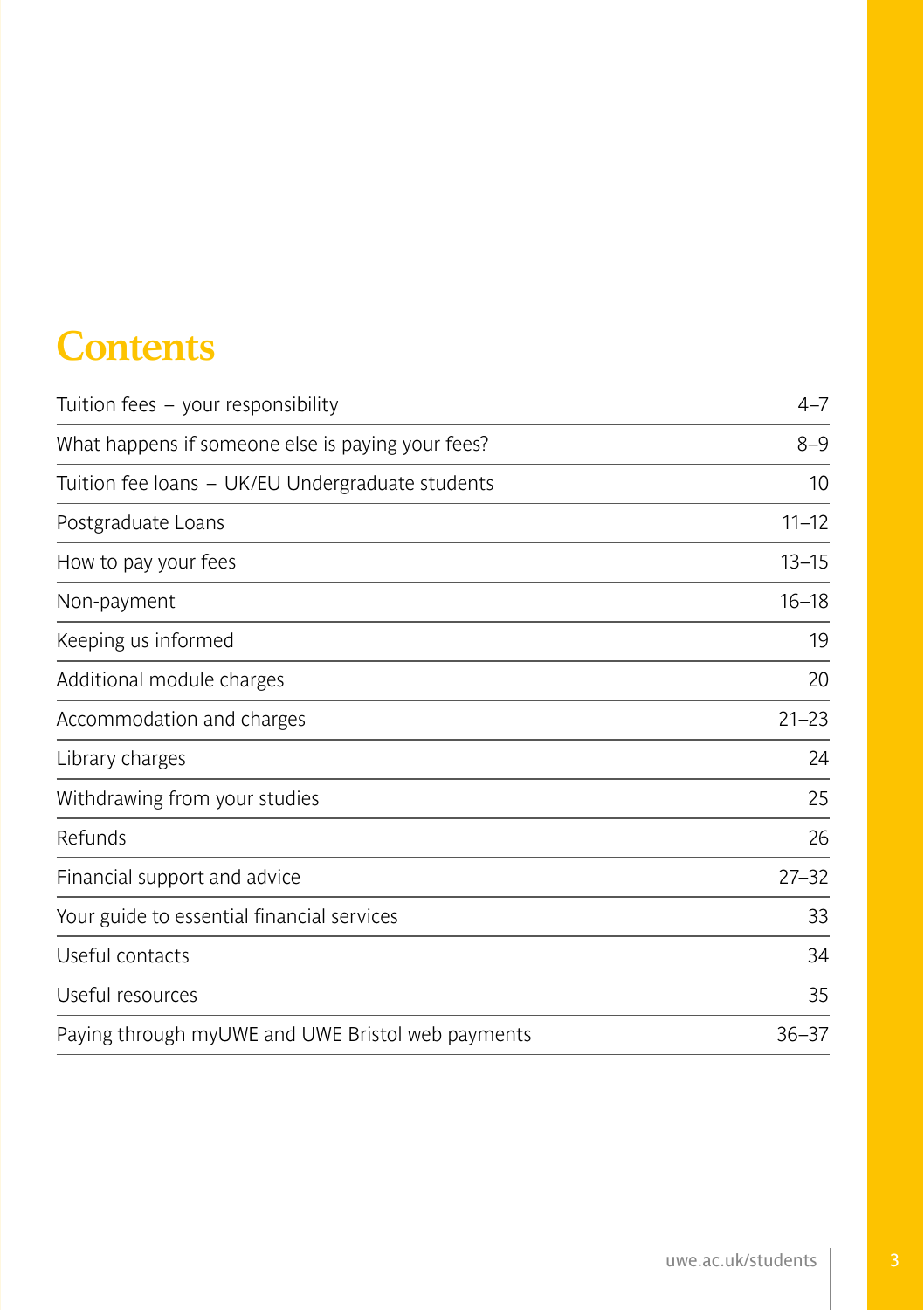## **Contents**

| Tuition fees - your responsibility                | $4 - 7$   |
|---------------------------------------------------|-----------|
| What happens if someone else is paying your fees? | $8 - 9$   |
| Tuition fee loans - UK/EU Undergraduate students  | 10        |
| Postgraduate Loans                                | $11 - 12$ |
| How to pay your fees                              | $13 - 15$ |
| Non-payment                                       | $16 - 18$ |
| Keeping us informed                               | 19        |
| Additional module charges                         | 20        |
| Accommodation and charges                         | $21 - 23$ |
| Library charges                                   | 24        |
| Withdrawing from your studies                     | 25        |
| Refunds                                           | 26        |
| Financial support and advice                      | $27 - 32$ |
| Your guide to essential financial services        | 33        |
| Useful contacts                                   | 34        |
| Useful resources                                  | 35        |
| Paying through myUWE and UWE Bristol web payments | $36 - 37$ |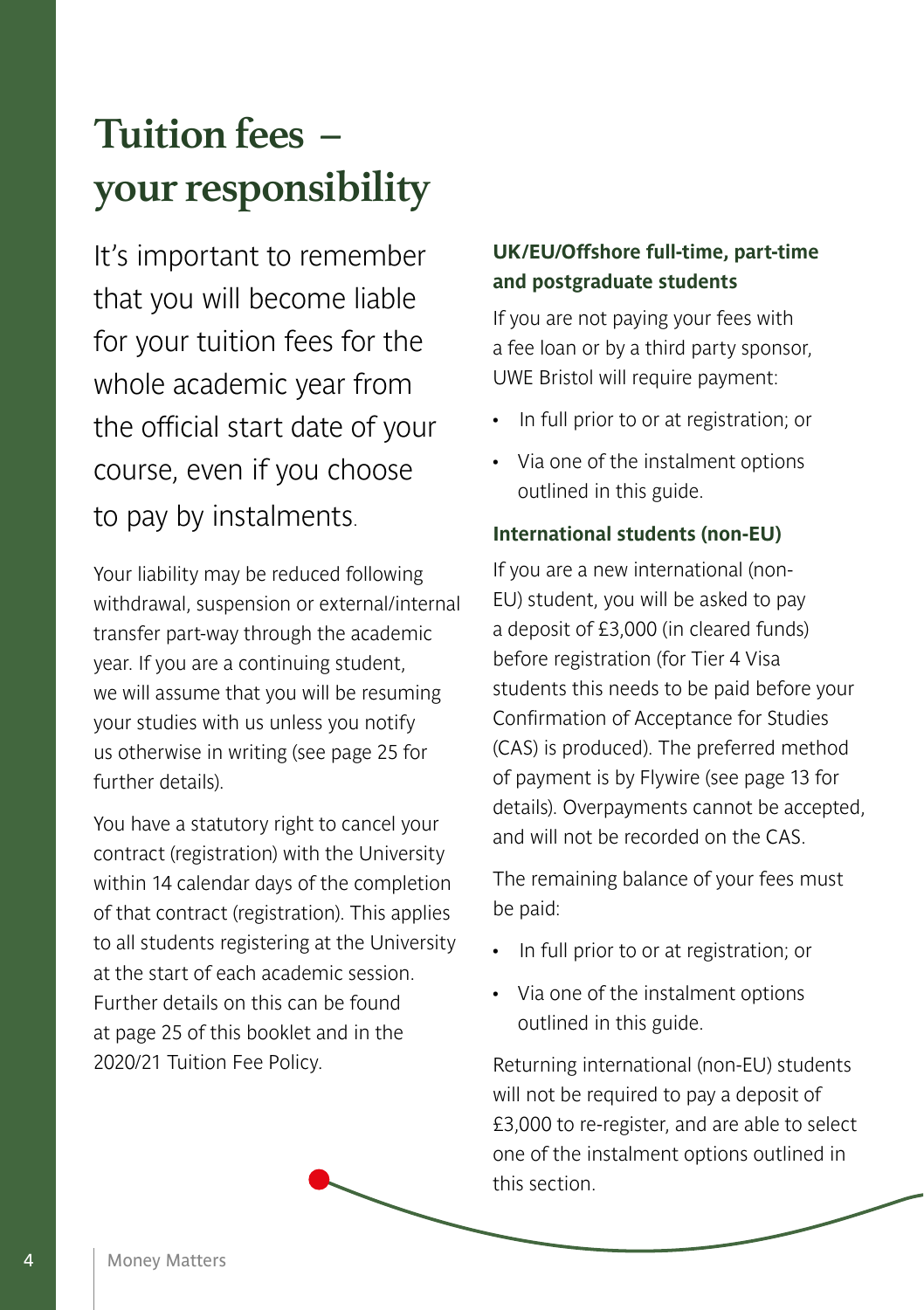## **Tuition fees – your responsibility**

**It's important to remember that you will become liable for your tuition fees for the whole academic year from the official start date of your course, even if you choose to pay by instalments**.

**Your liability may be reduced following withdrawal, suspension or external/internal transfer part-way through the academic year. If you are a continuing student, we will assume that you will be resuming your studies with us unless you notify us otherwise in writing (see page 25 for further details).**

**You have a statutory right to cancel your contract (registration) with the University within 14 calendar days of the completion of that contract (registration). This applies to all students registering at the University at the start of each academic session. Further details on this can be found at page 25 of this booklet and in the 2020/21 Tuition Fee Policy.**

## **UK/EU/Offshore full-time, part-time and postgraduate students**

**If you are not paying your fees with a fee loan or by a third party sponsor, UWE Bristol will require payment:**

- **• In full prior to or at registration; or**
- **• Via one of the instalment options outlined in this guide.**

#### **International students (non-EU)**

**If you are a new international (non-EU) student, you will be asked to pay a deposit of £3,000 (in cleared funds) before registration (for Tier 4 Visa students this needs to be paid before your Confirmation of Acceptance for Studies (CAS) is produced). The preferred method of payment is by Flywire (see page 13 for details). Overpayments cannot be accepted, and will not be recorded on the CAS.**

**The remaining balance of your fees must be paid:**

- **• In full prior to or at registration; or**
- **• Via one of the instalment options outlined in this guide.**

**Returning international (non-EU) students will not be required to pay a deposit of £3,000 to re-register, and are able to select one of the instalment options outlined in this section.**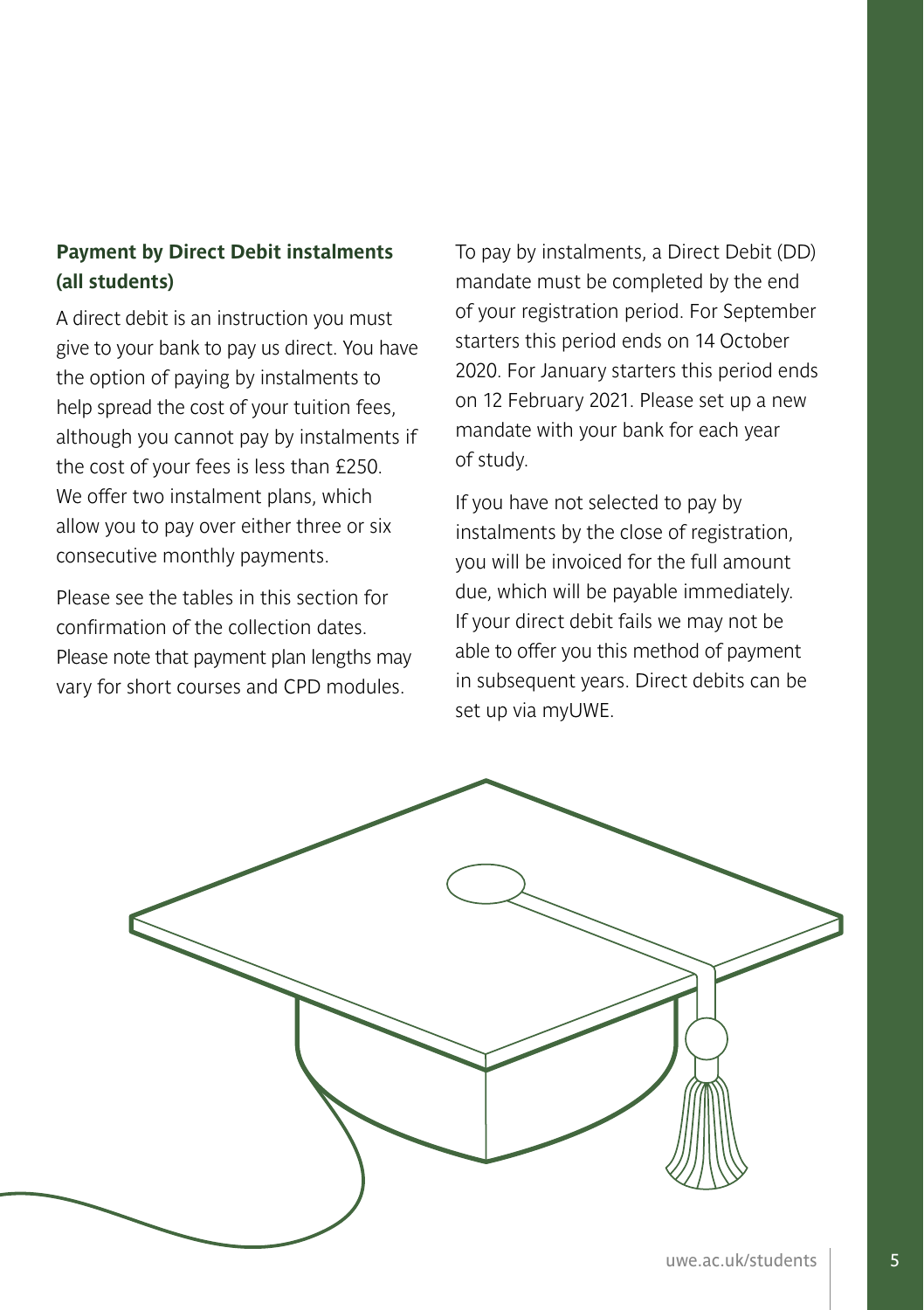## **Payment by Direct Debit instalments (all students)**

**A direct debit is an instruction you must give to your bank to pay us direct. You have the option of paying by instalments to help spread the cost of your tuition fees, although you cannot pay by instalments if the cost of your fees is less than £250. We offer two instalment plans, which allow you to pay over either three or six consecutive monthly payments.**

**Please see the tables in this section for confirmation of the collection dates. Please note that payment plan lengths may vary for short courses and CPD modules.**

**To pay by instalments, a Direct Debit (DD) mandate must be completed by the end of your registration period. For September starters this period ends on 14 October 2020. For January starters this period ends on 12 February 2021. Please set up a new mandate with your bank for each year of study.** 

**If you have not selected to pay by instalments by the close of registration, you will be invoiced for the full amount due, which will be payable immediately. If your direct debit fails we may not be able to offer you this method of payment in subsequent years. Direct debits can be set up via myUWE.**

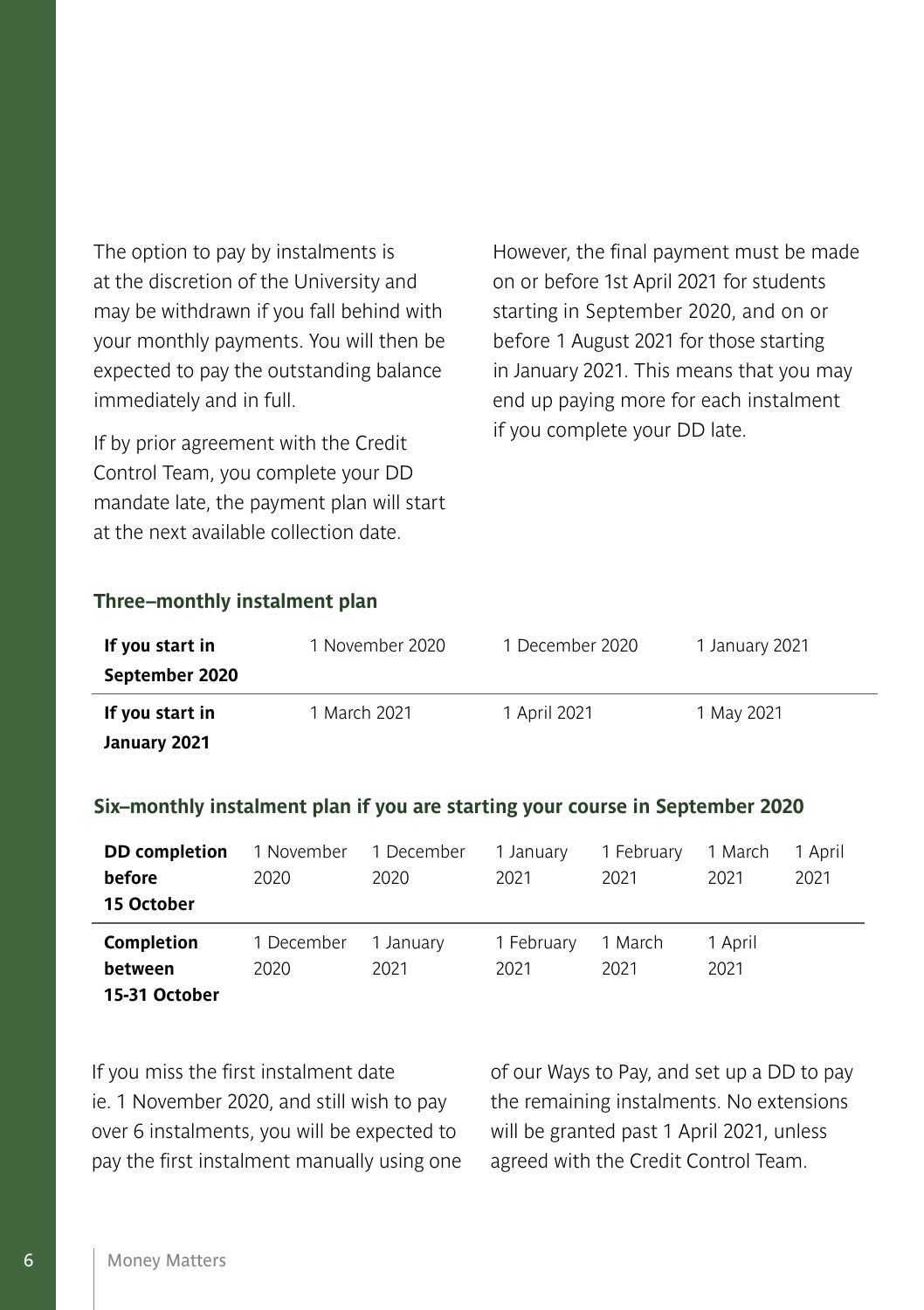**The option to pay by instalments is at the discretion of the University and may be withdrawn if you fall behind with your monthly payments. You will then be expected to pay the outstanding balance immediately and in full.**

**If by prior agreement with the Credit Control Team, you complete your DD mandate late, the payment plan will start at the next available collection date.** 

**However, the final payment must be made on or before 1st April 2021 for students starting in September 2020, and on or before 1 August 2021 for those starting in January 2021. This means that you may end up paying more for each instalment if you complete your DD late.** 

#### **Three–monthly instalment plan**

| If you start in<br>September 2020 | 1 November 2020 | 1 December 2020 | 1 January 2021 |
|-----------------------------------|-----------------|-----------------|----------------|
| If you start in<br>January 2021   | 1 March 2021    | 1 April 2021    | 1 May 2021     |

#### **Six–monthly instalment plan if you are starting your course in September 2020**

| <b>DD</b> completion<br>before<br>15 October | 1 November<br>2020 | 1 December<br>2020 | 1 January<br>2021  | 1 February<br>2021 | 1 March<br>2021 | 1 April<br>2021 |
|----------------------------------------------|--------------------|--------------------|--------------------|--------------------|-----------------|-----------------|
| Completion<br>between<br>15-31 October       | 1 December<br>2020 | 1 January<br>2021  | 1 February<br>2021 | 1 March<br>2021    | 1 April<br>2021 |                 |

**If you miss the first instalment date ie. 1 November 2020, and still wish to pay over 6 instalments, you will be expected to pay the first instalment manually using one**  **of our Ways to Pay, and set up a DD to pay the remaining instalments. No extensions will be granted past 1 April 2021, unless agreed with the Credit Control Team.**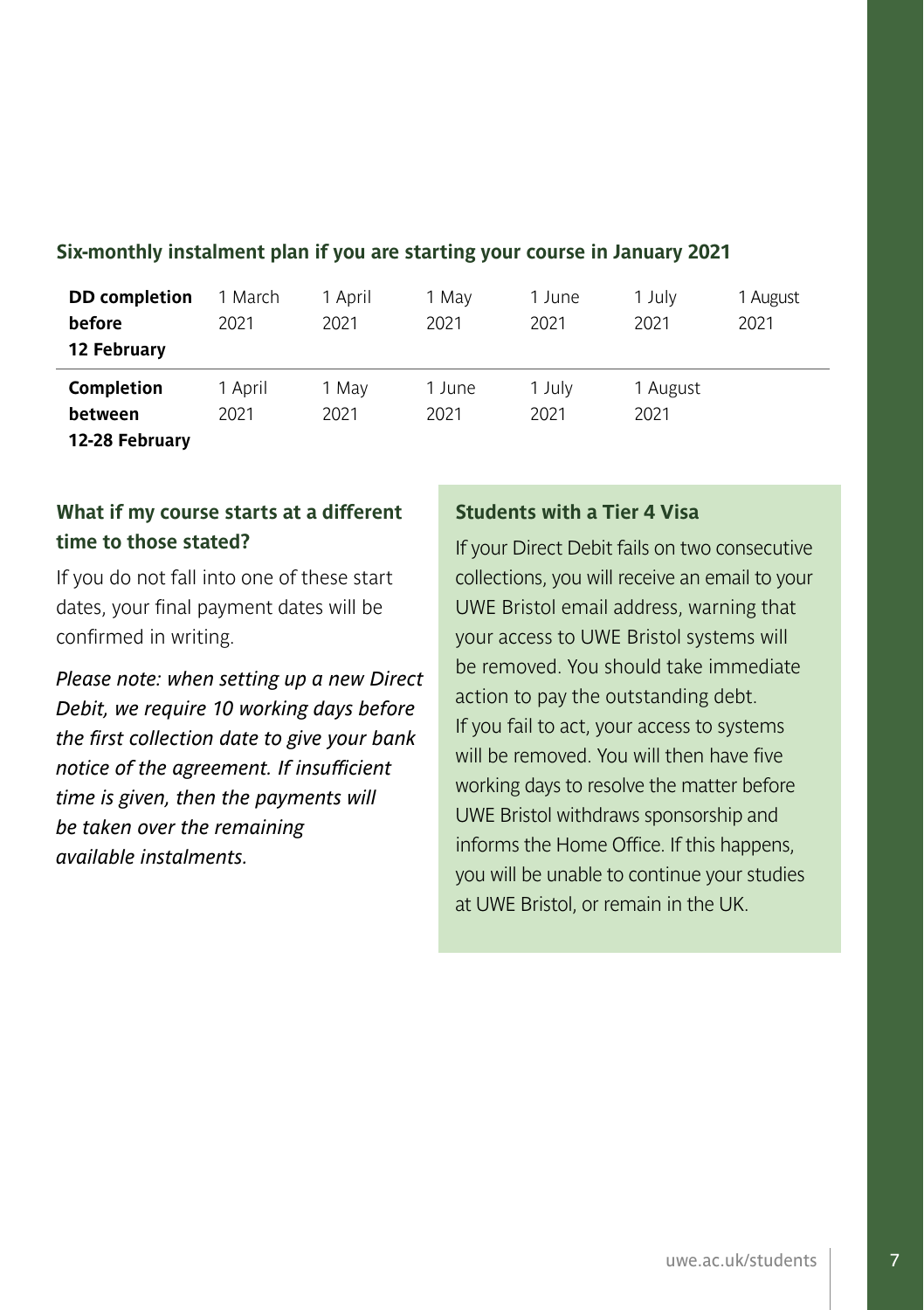| <b>DD</b> completion<br>before<br><b>12 February</b> | 1 March<br>2021 | 1 April<br>2021 | 1 May<br>2021  | 1 June<br>2021 | 1 July<br>2021   | 1 August<br>2021 |
|------------------------------------------------------|-----------------|-----------------|----------------|----------------|------------------|------------------|
| Completion<br>between<br>12-28 February              | 1 April<br>2021 | 1 May<br>2021   | 1 June<br>2021 | 1 July<br>2021 | 1 August<br>2021 |                  |

#### **Six-monthly instalment plan if you are starting your course in January 2021**

## **What if my course starts at a different time to those stated?**

**If you do not fall into one of these start dates, your final payment dates will be confirmed in writing.**

*Please note: when setting up a new Direct Debit, we require 10 working days before the first collection date to give your bank notice of the agreement. If insufficient time is given, then the payments will be taken over the remaining available instalments.*

#### **Students with a Tier 4 Visa**

**If your Direct Debit fails on two consecutive collections, you will receive an email to your UWE Bristol email address, warning that your access to UWE Bristol systems will be removed. You should take immediate action to pay the outstanding debt. If you fail to act, your access to systems will be removed. You will then have five working days to resolve the matter before UWE Bristol withdraws sponsorship and informs the Home Office. If this happens, you will be unable to continue your studies at UWE Bristol, or remain in the UK.**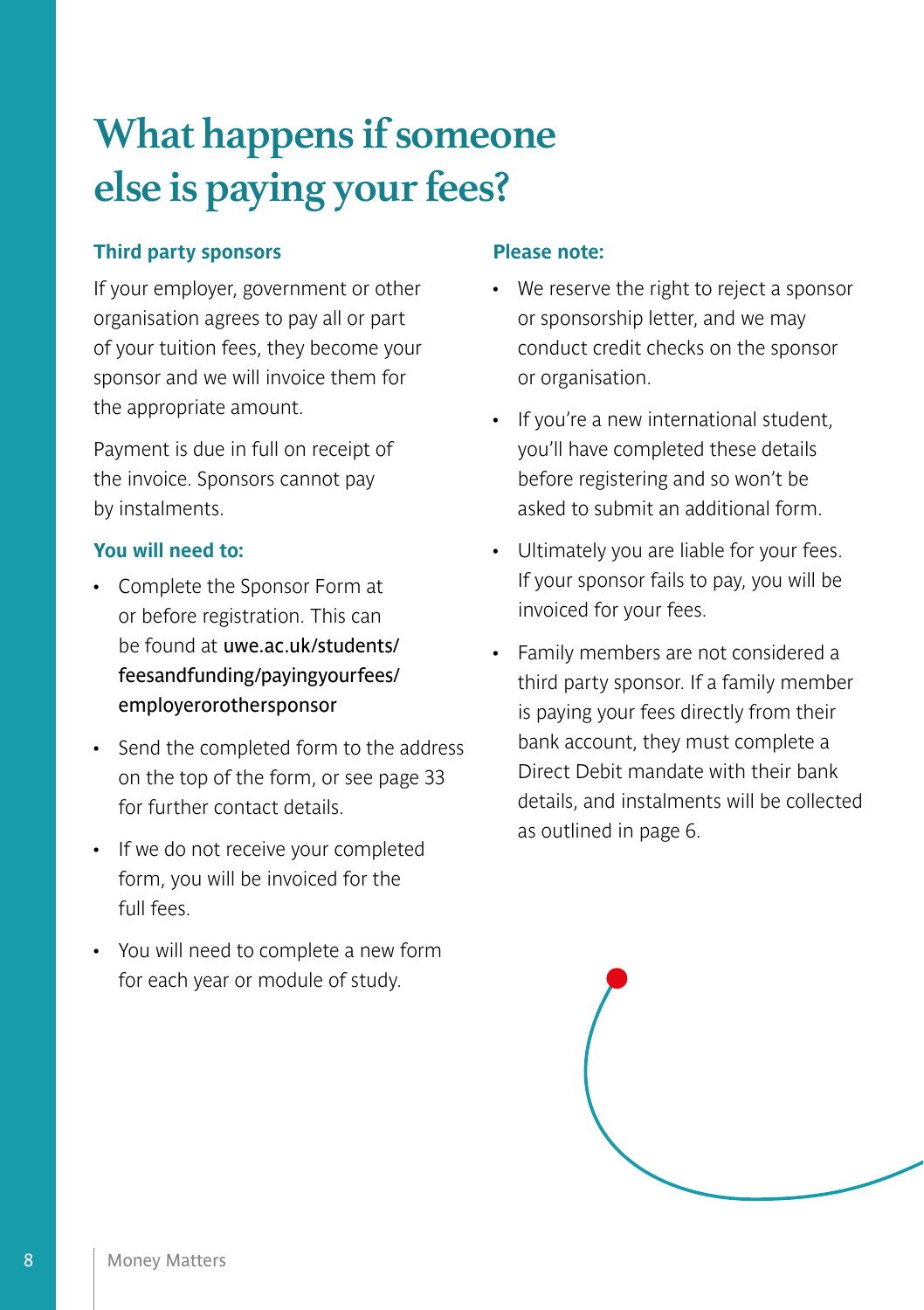# **What happens if someone else is paying your fees?**

#### **Third party sponsors**

**If your employer, government or other organisation agrees to pay all or part of your tuition fees, they become your sponsor and we will invoice them for the appropriate amount.**

**Payment is due in full on receipt of the invoice. Sponsors cannot pay by instalments.** 

#### **You will need to:**

- **• Complete the Sponsor Form at or before registration. This can be found at** uwe.ac.uk/students/ feesandfunding/payingyourfees/ employerorothersponsor
- **• Send the completed form to the address on the top of the form, or see page 33 for further contact details.**
- **• If we do not receive your completed form, you will be invoiced for the full fees.**
- **• You will need to complete a new form for each year or module of study.**

#### **Please note:**

- **• We reserve the right to reject a sponsor or sponsorship letter, and we may conduct credit checks on the sponsor or organisation.**
- **• If you're a new international student, you'll have completed these details before registering and so won't be asked to submit an additional form.**
- **• Ultimately you are liable for your fees. If your sponsor fails to pay, you will be invoiced for your fees.**
- **• Family members are not considered a third party sponsor. If a family member is paying your fees directly from their bank account, they must complete a Direct Debit mandate with their bank details, and instalments will be collected as outlined in page 6.**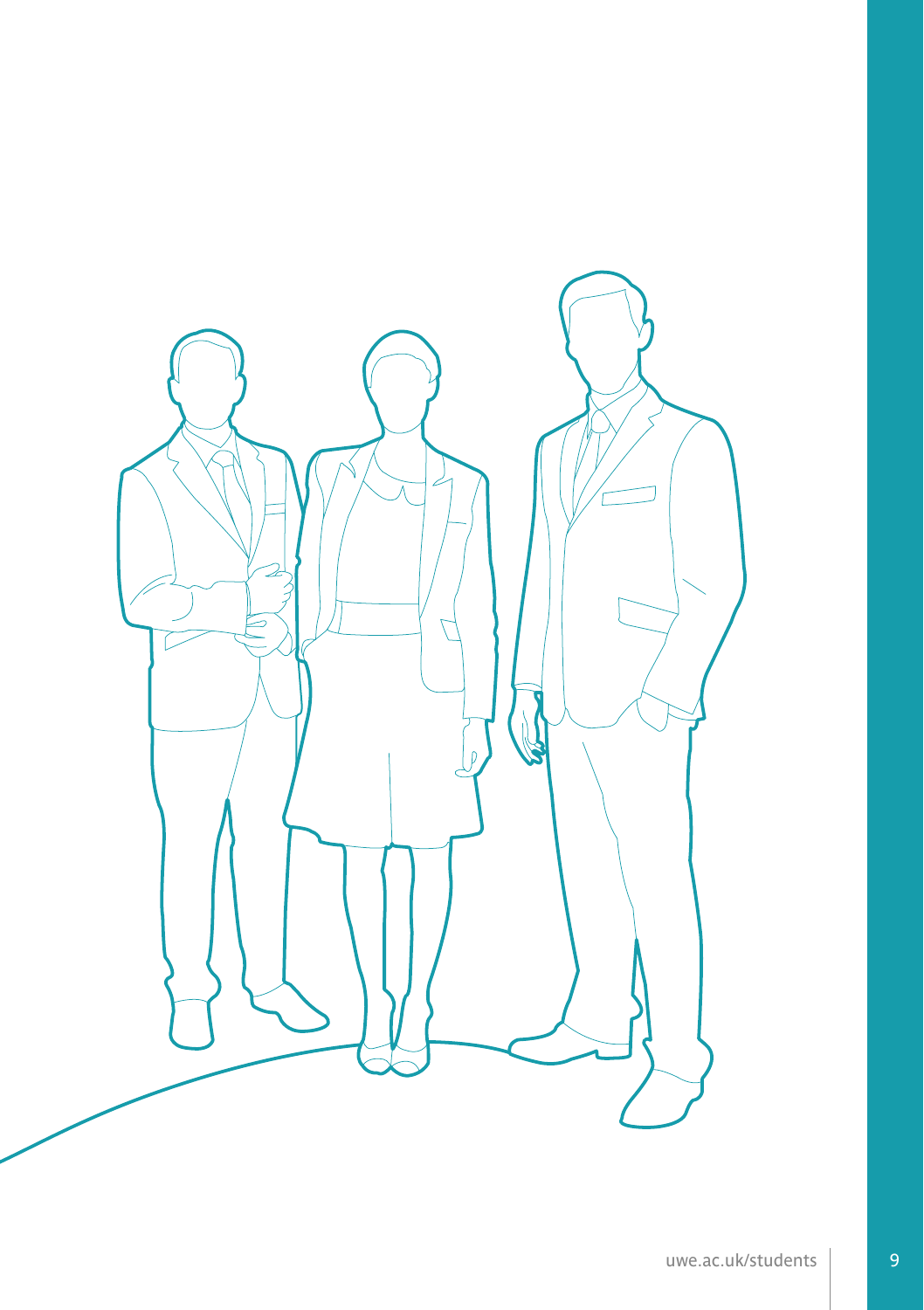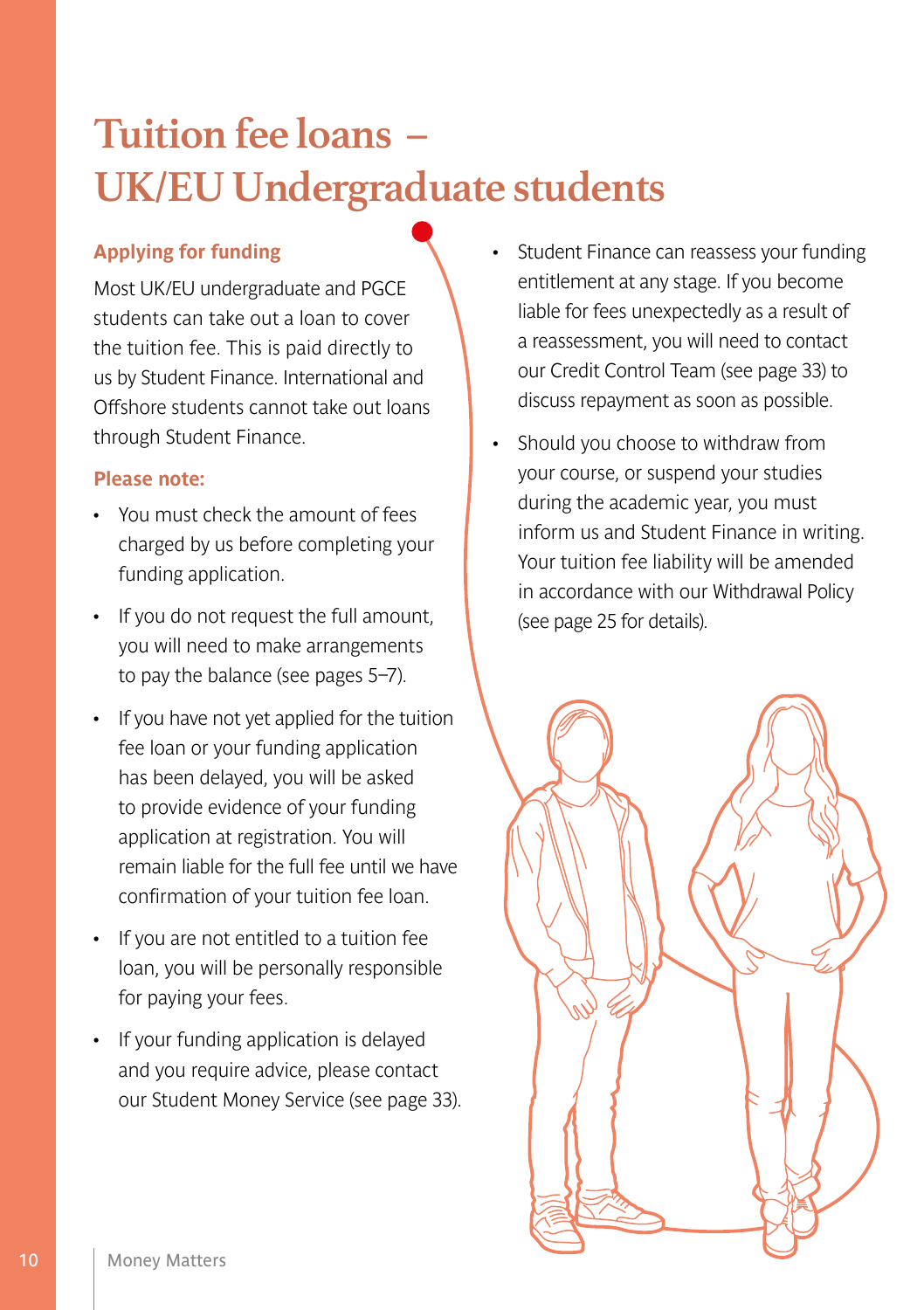## **Tuition fee loans – UK/EU Undergraduate students**

## **Applying for funding**

**Most UK/EU undergraduate and PGCE students can take out a loan to cover the tuition fee. This is paid directly to us by Student Finance. International and Offshore students cannot take out loans through Student Finance.**

#### **Please note:**

- **• You must check the amount of fees charged by us before completing your funding application.**
- **• If you do not request the full amount, you will need to make arrangements to pay the balance (see pages 5–7).**
- **• If you have not yet applied for the tuition fee loan or your funding application has been delayed, you will be asked to provide evidence of your funding application at registration. You will remain liable for the full fee until we have confirmation of your tuition fee loan.**
- **• If you are not entitled to a tuition fee loan, you will be personally responsible for paying your fees.**
- **• If your funding application is delayed and you require advice, please contact our Student Money Service (see page 33).**
- **• Student Finance can reassess your funding entitlement at any stage. If you become liable for fees unexpectedly as a result of a reassessment, you will need to contact our Credit Control Team (see page 33) to discuss repayment as soon as possible.**
- **• Should you choose to withdraw from your course, or suspend your studies during the academic year, you must inform us and Student Finance in writing. Your tuition fee liability will be amended in accordance with our Withdrawal Policy (see page 25 for details).**

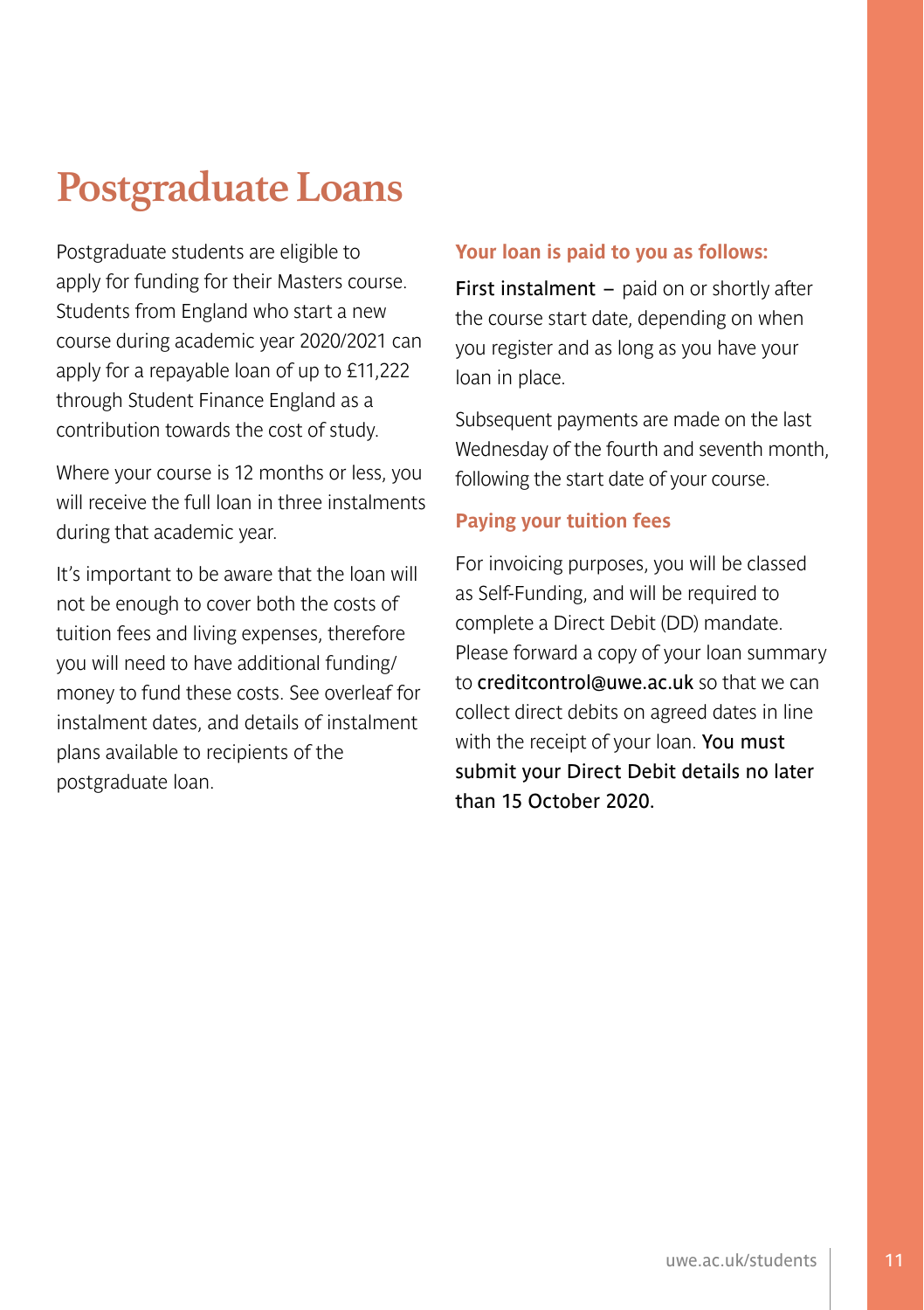## **Postgraduate Loans**

**Postgraduate students are eligible to apply for funding for their Masters course. Students from England who start a new course during academic year 2020/2021 can apply for a repayable loan of up to £11,222 through Student Finance England as a contribution towards the cost of study.** 

**Where your course is 12 months or less, you will receive the full loan in three instalments during that academic year.** 

**It's important to be aware that the loan will not be enough to cover both the costs of tuition fees and living expenses, therefore you will need to have additional funding/ money to fund these costs. See overleaf for instalment dates, and details of instalment plans available to recipients of the postgraduate loan.** 

#### **Your loan is paid to you as follows:**

First instalment – **paid on or shortly after the course start date, depending on when you register and as long as you have your loan in place.**

**Subsequent payments are made on the last Wednesday of the fourth and seventh month, following the start date of your course.**

#### **Paying your tuition fees**

**For invoicing purposes, you will be classed as Self-Funding, and will be required to complete a Direct Debit (DD) mandate. Please forward a copy of your loan summary to** creditcontrol@uwe.ac.uk **so that we can collect direct debits on agreed dates in line with the receipt of your loan.** You must submit your Direct Debit details no later than 15 October 2020.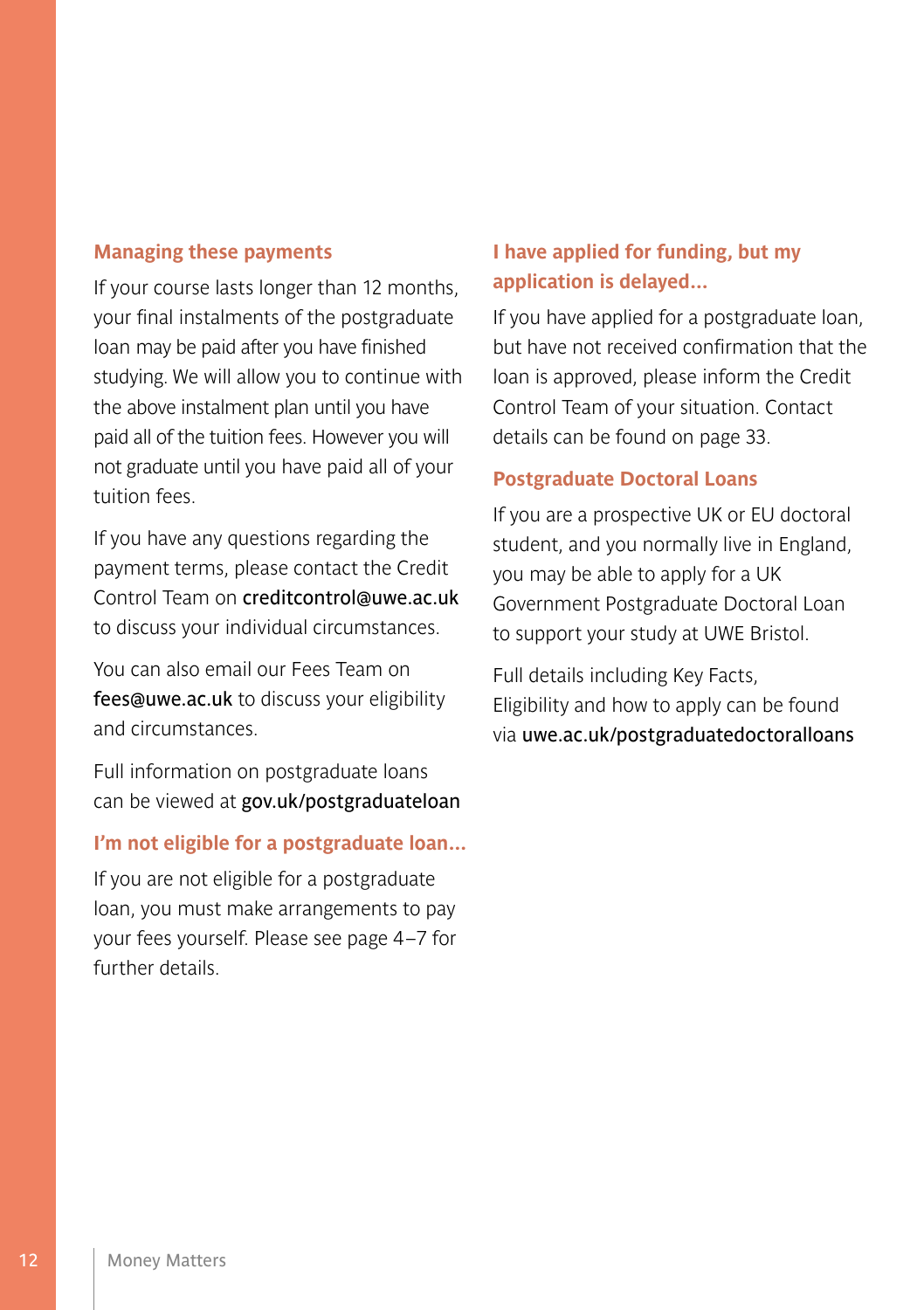#### **Managing these payments**

**If your course lasts longer than 12 months, your final instalments of the postgraduate loan may be paid after you have finished studying. We will allow you to continue with the above instalment plan until you have paid all of the tuition fees. However you will not graduate until you have paid all of your tuition fees.**

**If you have any questions regarding the payment terms, please contact the Credit Control Team on** creditcontrol@uwe.ac.uk **to discuss your individual circumstances.**

**You can also email our Fees Team on**  fees@uwe.ac.uk **to discuss your eligibility and circumstances.**

**Full information on postgraduate loans can be viewed at** gov.uk/postgraduateloan

#### **I'm not eligible for a postgraduate loan…**

**If you are not eligible for a postgraduate loan, you must make arrangements to pay your fees yourself. Please see page 4 – 7 for further details.**

### **I have applied for funding, but my application is delayed…**

**If you have applied for a postgraduate loan, but have not received confirmation that the loan is approved, please inform the Credit Control Team of your situation. Contact details can be found on page 33.**

#### **Postgraduate Doctoral Loans**

**If you are a prospective UK or EU doctoral student, and you normally live in England, you may be able to apply for a UK Government Postgraduate Doctoral Loan to support your study at UWE Bristol.** 

**Full details including Key Facts, Eligibility and how to apply can be found via** uwe.ac.uk/postgraduatedoctoralloans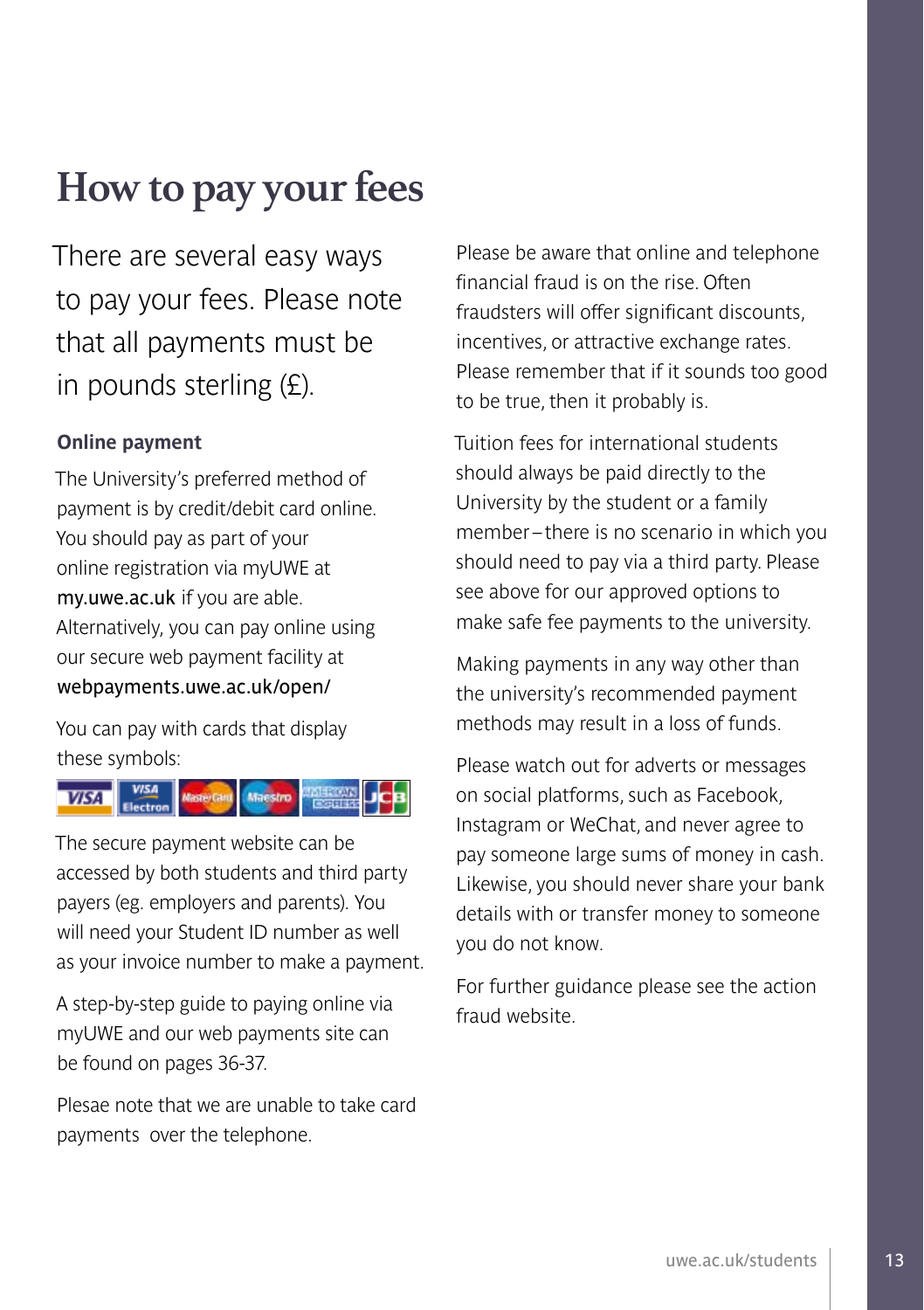## **How to pay your fees**

**There are several easy ways to pay your fees. Please note that all payments must be in pounds sterling (£).**

#### **Online payment**

**The University's preferred method of payment is by credit/debit card online. You should pay as part of your online registration via myUWE at**  my.uwe.ac.uk **if you are able. Alternatively, you can pay online using our secure web payment facility at**  webpayments.uwe.ac.uk/open/

**You can pay with cards that display these symbols:**



**The secure payment website can be accessed by both students and third party payers (eg. employers and parents). You will need your Student ID number as well as your invoice number to make a payment.**

**A step-by-step guide to paying online via myUWE and our web payments site can be found on pages 36-37.**

**Plesae note that we are unable to take card payments over the telephone.**

**Please be aware that online and telephone financial fraud is on the rise. Often fraudsters will offer significant discounts, incentives, or attractive exchange rates. Please remember that if it sounds too good to be true, then it probably is.**

**Tuition fees for international students should always be paid directly to the University by the student or a family member – there is no scenario in which you should need to pay via a third party. Please see above for our approved options to make safe fee payments to the university.**

**Making payments in any way other than the university's recommended payment methods may result in a loss of funds.**

**Please watch out for adverts or messages on social platforms, such as Facebook, Instagram or WeChat, and never agree to pay someone large sums of money in cash. Likewise, you should never share your bank details with or transfer money to someone you do not know.**

**For further guidance please see the action fraud website.**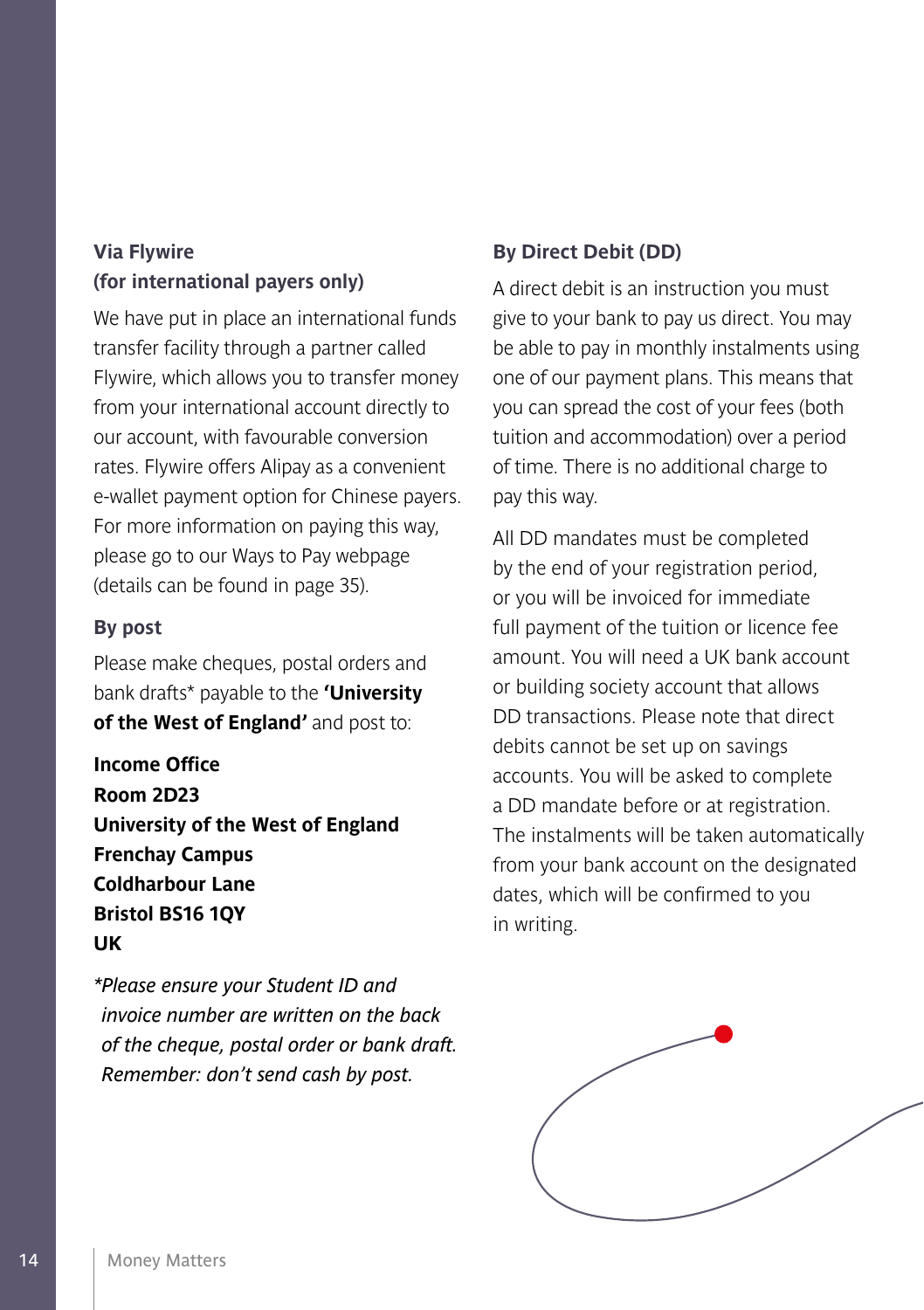## **Via Flywire (for international payers only)**

**We have put in place an international funds transfer facility through a partner called Flywire, which allows you to transfer money from your international account directly to our account, with favourable conversion rates. Flywire offers Alipay as a convenient e-wallet payment option for Chinese payers. For more information on paying this way, please go to our Ways to Pay webpage (details can be found in page 35).**

#### **By post**

**Please make cheques, postal orders and bank drafts\* payable to the 'University of the West of England' and post to:**

**Income Office Room 2D23 University of the West of England Frenchay Campus Coldharbour Lane Bristol BS16 1QY UK**

*\*Please ensure your Student ID and invoice number are written on the back of the cheque, postal order or bank draft. Remember: don't send cash by post.*

### **By Direct Debit (DD)**

**A direct debit is an instruction you must give to your bank to pay us direct. You may be able to pay in monthly instalments using one of our payment plans. This means that you can spread the cost of your fees (both tuition and accommodation) over a period of time. There is no additional charge to pay this way.**

**All DD mandates must be completed by the end of your registration period, or you will be invoiced for immediate full payment of the tuition or licence fee amount. You will need a UK bank account or building society account that allows DD transactions. Please note that direct debits cannot be set up on savings accounts. You will be asked to complete a DD mandate before or at registration. The instalments will be taken automatically from your bank account on the designated dates, which will be confirmed to you in writing.**

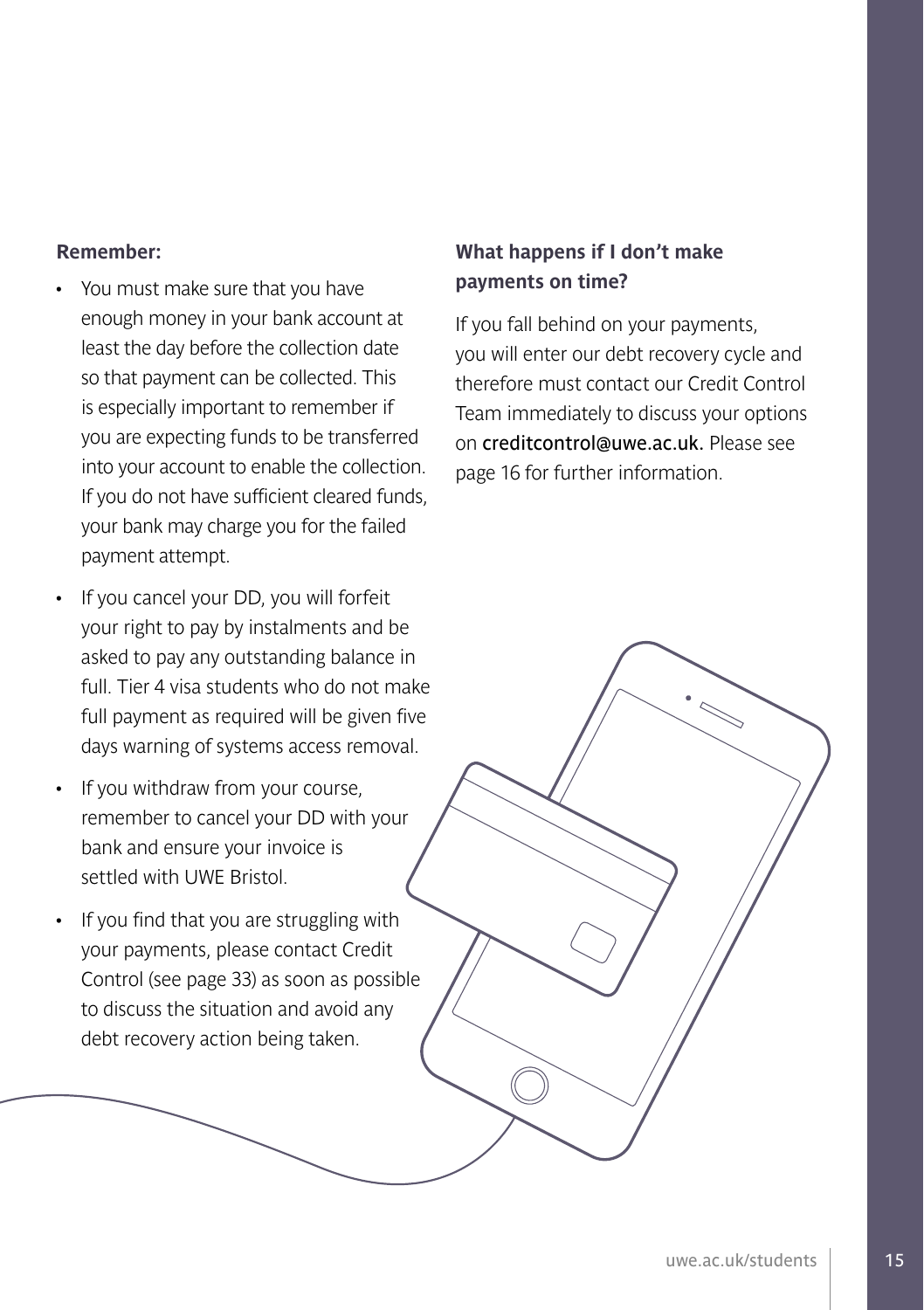#### **Remember:**

- **• You must make sure that you have enough money in your bank account at least the day before the collection date so that payment can be collected. This is especially important to remember if you are expecting funds to be transferred into your account to enable the collection. If you do not have sufficient cleared funds, your bank may charge you for the failed payment attempt.**
- **• If you cancel your DD, you will forfeit your right to pay by instalments and be asked to pay any outstanding balance in full. Tier 4 visa students who do not make full payment as required will be given five days warning of systems access removal.**
- **• If you withdraw from your course, remember to cancel your DD with your bank and ensure your invoice is settled with UWE Bristol.**
- **• If you find that you are struggling with your payments, please contact Credit Control (see page 33) as soon as possible to discuss the situation and avoid any debt recovery action being taken.**

## **What happens if I don't make payments on time?**

**If you fall behind on your payments, you will enter our debt recovery cycle and therefore must contact our Credit Control Team immediately to discuss your options on** creditcontrol@uwe.ac.uk. **Please see page 16 for further information.**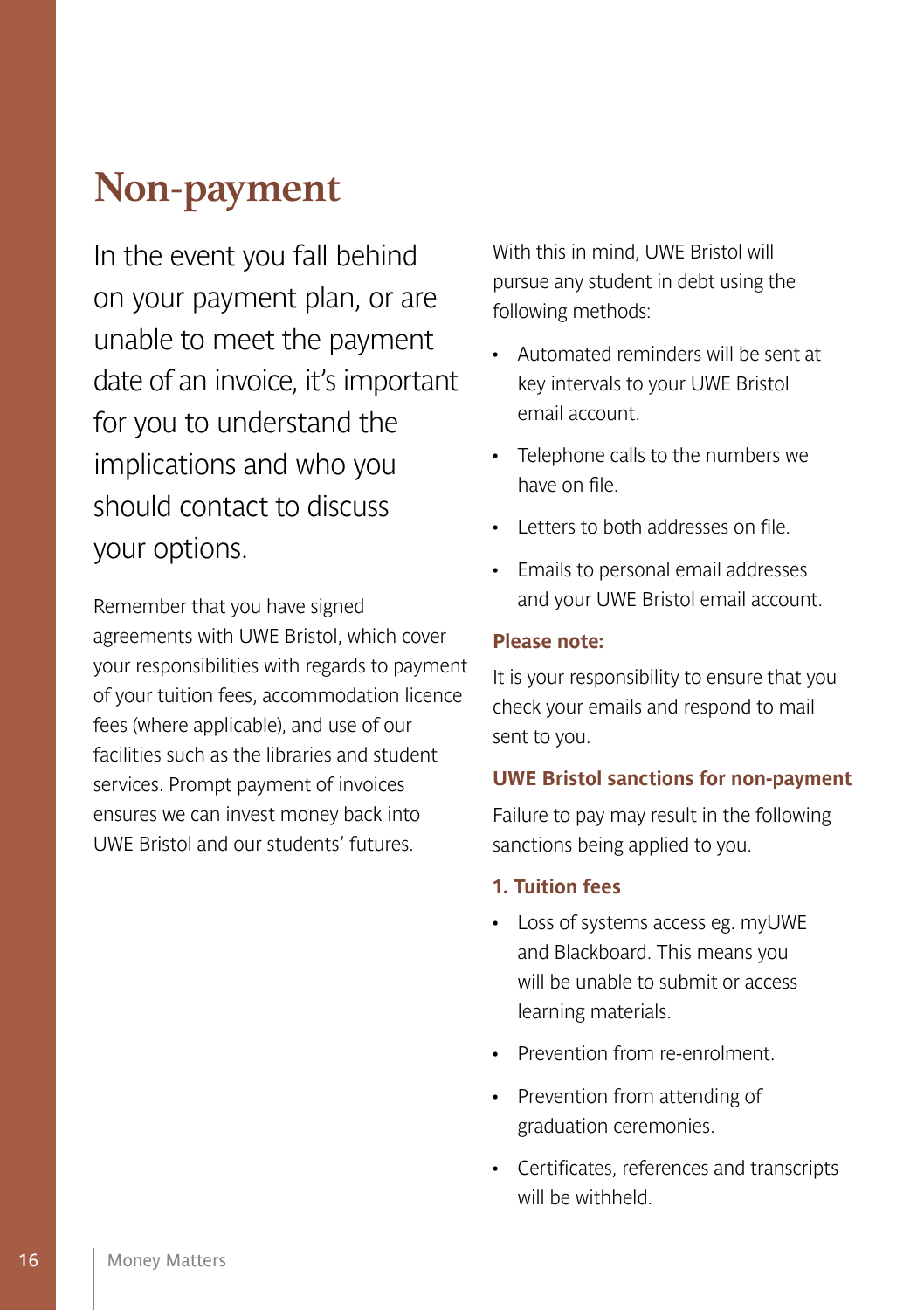## **Non-payment**

**In the event you fall behind on your payment plan, or are unable to meet the payment date of an invoice, it's important for you to understand the implications and who you should contact to discuss your options.**

**Remember that you have signed agreements with UWE Bristol, which cover your responsibilities with regards to payment of your tuition fees, accommodation licence fees (where applicable), and use of our facilities such as the libraries and student services. Prompt payment of invoices ensures we can invest money back into UWE Bristol and our students' futures.**

**With this in mind, UWE Bristol will pursue any student in debt using the following methods:**

- **• Automated reminders will be sent at key intervals to your UWE Bristol email account.**
- **• Telephone calls to the numbers we have on file.**
- **• Letters to both addresses on file.**
- **• Emails to personal email addresses and your UWE Bristol email account.**

#### **Please note:**

**It is your responsibility to ensure that you check your emails and respond to mail sent to you.**

#### **UWE Bristol sanctions for non-payment**

**Failure to pay may result in the following sanctions being applied to you.**

#### **1. Tuition fees**

- **• Loss of systems access eg. myUWE and Blackboard. This means you will be unable to submit or access learning materials.**
- **• Prevention from re-enrolment.**
- **• Prevention from attending of graduation ceremonies.**
- **• Certificates, references and transcripts will be withheld.**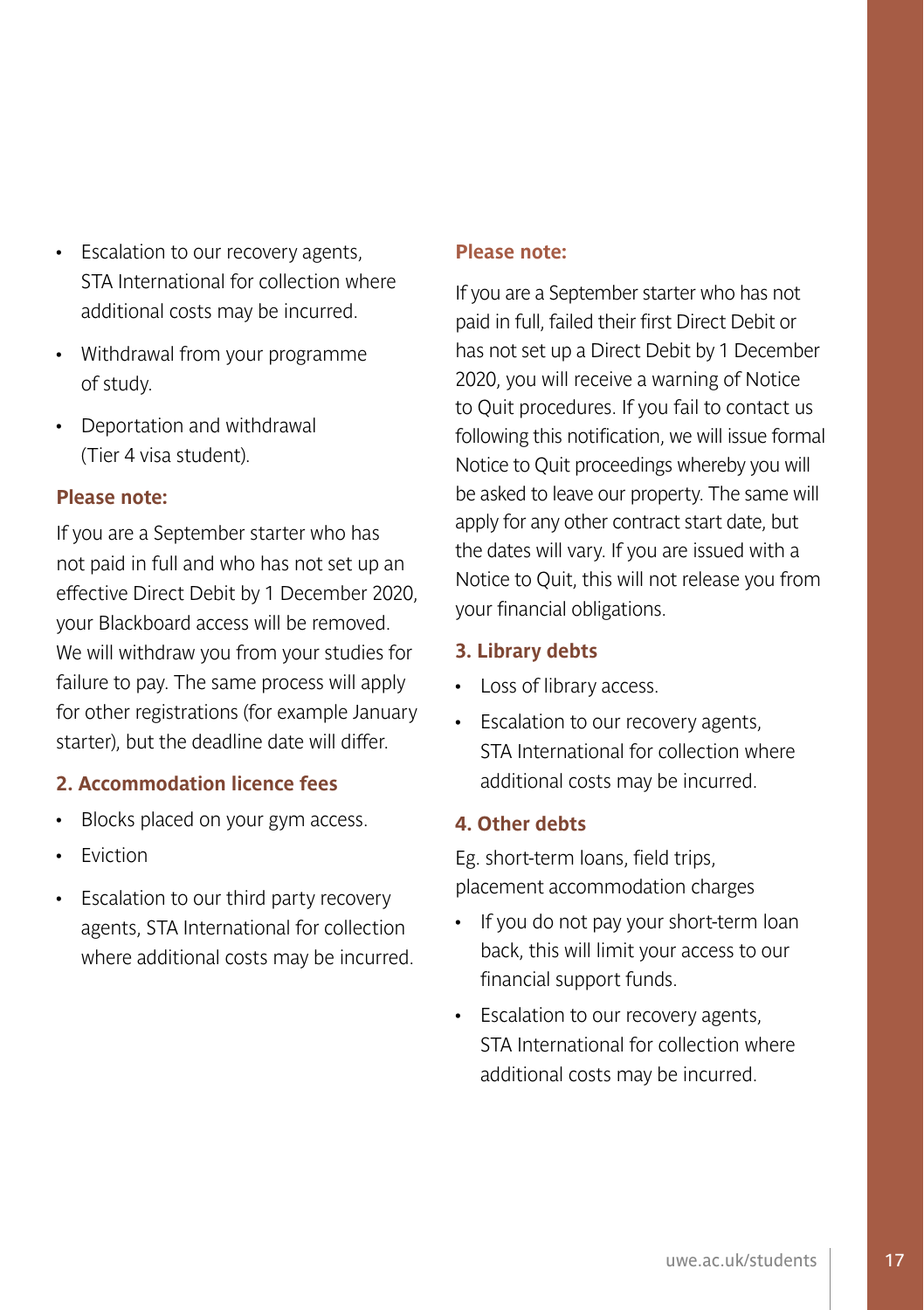- **• Escalation to our recovery agents, STA International for collection where additional costs may be incurred.**
- **• Withdrawal from your programme of study.**
- **• Deportation and withdrawal (Tier 4 visa student).**

#### **Please note:**

**If you are a September starter who has not paid in full and who has not set up an effective Direct Debit by 1 December 2020, your Blackboard access will be removed. We will withdraw you from your studies for failure to pay. The same process will apply for other registrations (for example January starter), but the deadline date will differ.**

#### **2. Accommodation licence fees**

- **• Blocks placed on your gym access.**
- **• Eviction**
- **• Escalation to our third party recovery agents, STA International for collection where additional costs may be incurred.**

#### **Please note:**

**If you are a September starter who has not paid in full, failed their first Direct Debit or has not set up a Direct Debit by 1 December 2020, you will receive a warning of Notice to Quit procedures. If you fail to contact us following this notification, we will issue formal Notice to Quit proceedings whereby you will be asked to leave our property. The same will apply for any other contract start date, but the dates will vary. If you are issued with a Notice to Quit, this will not release you from your financial obligations.** 

#### **3. Library debts**

- **• Loss of library access.**
- **• Escalation to our recovery agents, STA International for collection where additional costs may be incurred.**

#### **4. Other debts**

**Eg. short-term loans, field trips, placement accommodation charges**

- **• If you do not pay your short-term loan back, this will limit your access to our financial support funds.**
- **• Escalation to our recovery agents, STA International for collection where additional costs may be incurred.**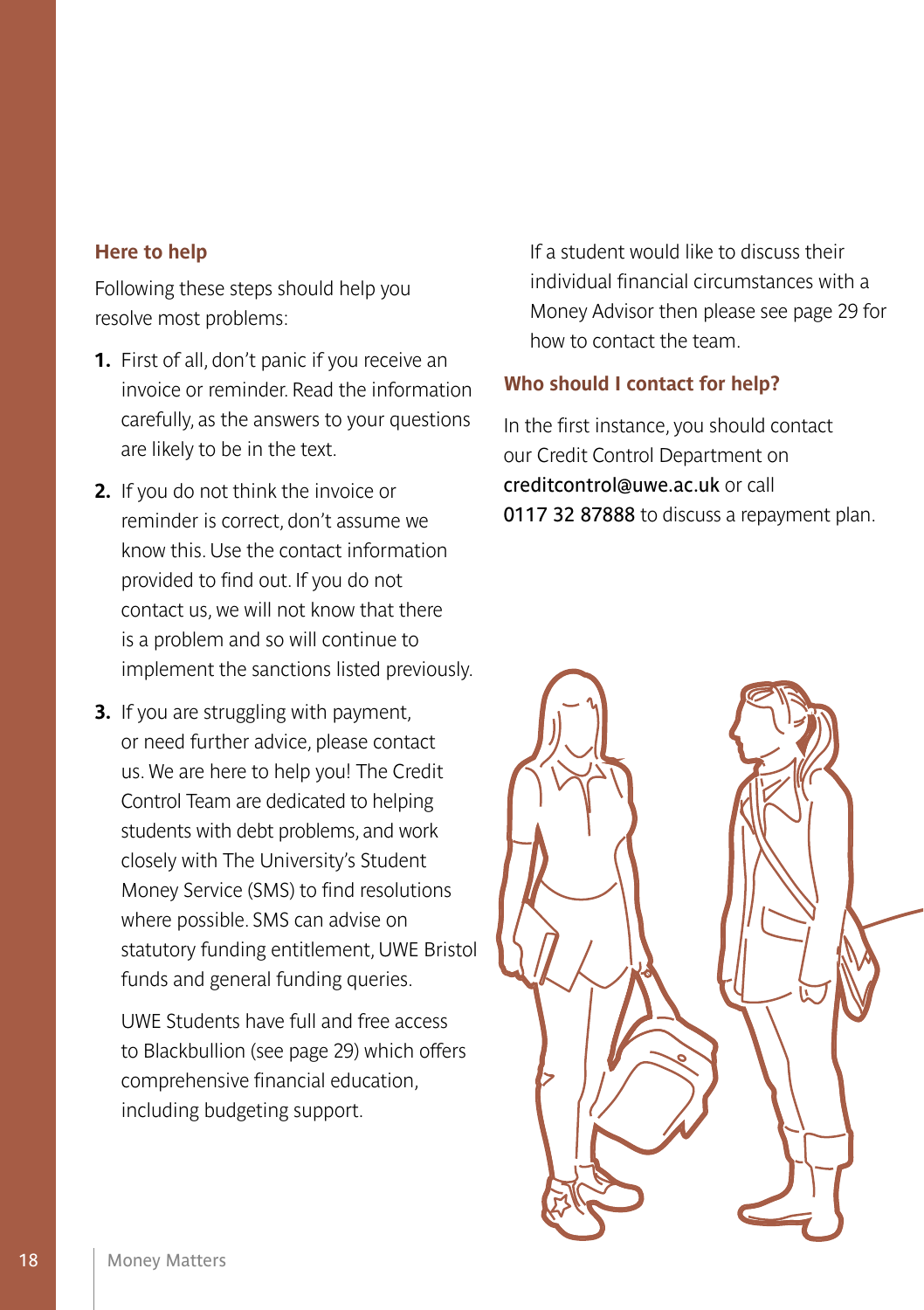#### **Here to help**

**Following these steps should help you resolve most problems:**

- **1. First of all, don't panic if you receive an invoice or reminder. Read the information carefully, as the answers to your questions are likely to be in the text.**
- **2. If you do not think the invoice or reminder is correct, don't assume we know this. Use the contact information provided to find out. If you do not contact us, we will not know that there is a problem and so will continue to implement the sanctions listed previously.**
- **3. If you are struggling with payment, or need further advice, please contact us. We are here to help you! The Credit Control Team are dedicated to helping students with debt problems, and work closely with The University's Student Money Service (SMS) to find resolutions where possible. SMS can advise on statutory funding entitlement, UWE Bristol funds and general funding queries.**

 **UWE Students have full and free access to Blackbullion (see page 29) which offers comprehensive financial education, including budgeting support.**

 **If a student would like to discuss their individual financial circumstances with a Money Advisor then please see page 29 for how to contact the team.**

#### **Who should I contact for help?**

**In the first instance, you should contact our Credit Control Department on**  creditcontrol@uwe.ac.uk **or call**  0117 32 87888 **to discuss a repayment plan.** 

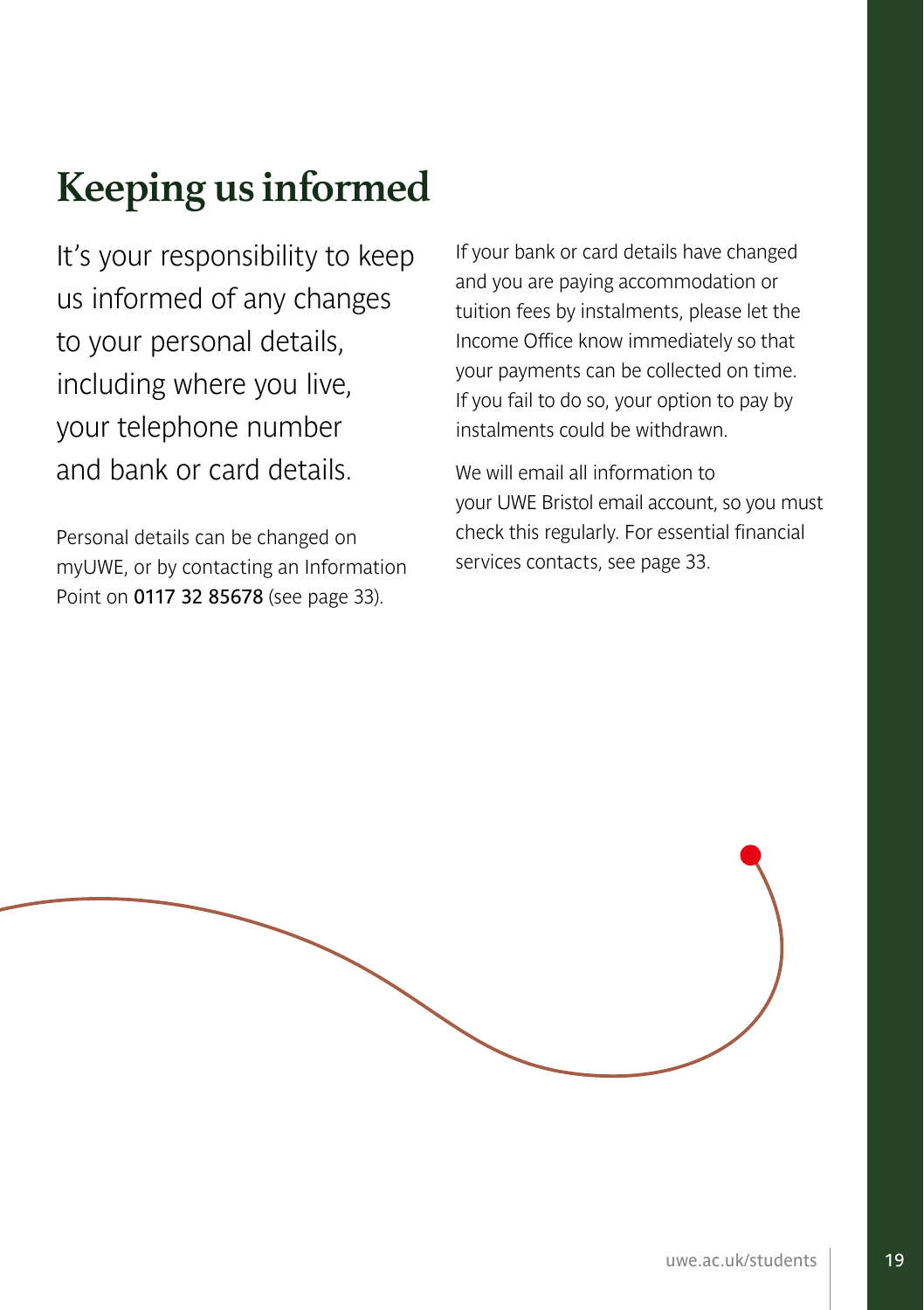# **Keeping us informed**

**It's your responsibility to keep us informed of any changes to your personal details, including where you live, your telephone number and bank or card details.**

**Personal details can be changed on myUWE, or by contacting an Information Point on** 0117 32 85678 **(see page 33).**

**If your bank or card details have changed and you are paying accommodation or tuition fees by instalments, please let the Income Office know immediately so that your payments can be collected on time. If you fail to do so, your option to pay by instalments could be withdrawn.**

**We will email all information to your UWE Bristol email account, so you must check this regularly. For essential financial services contacts, see page 33.**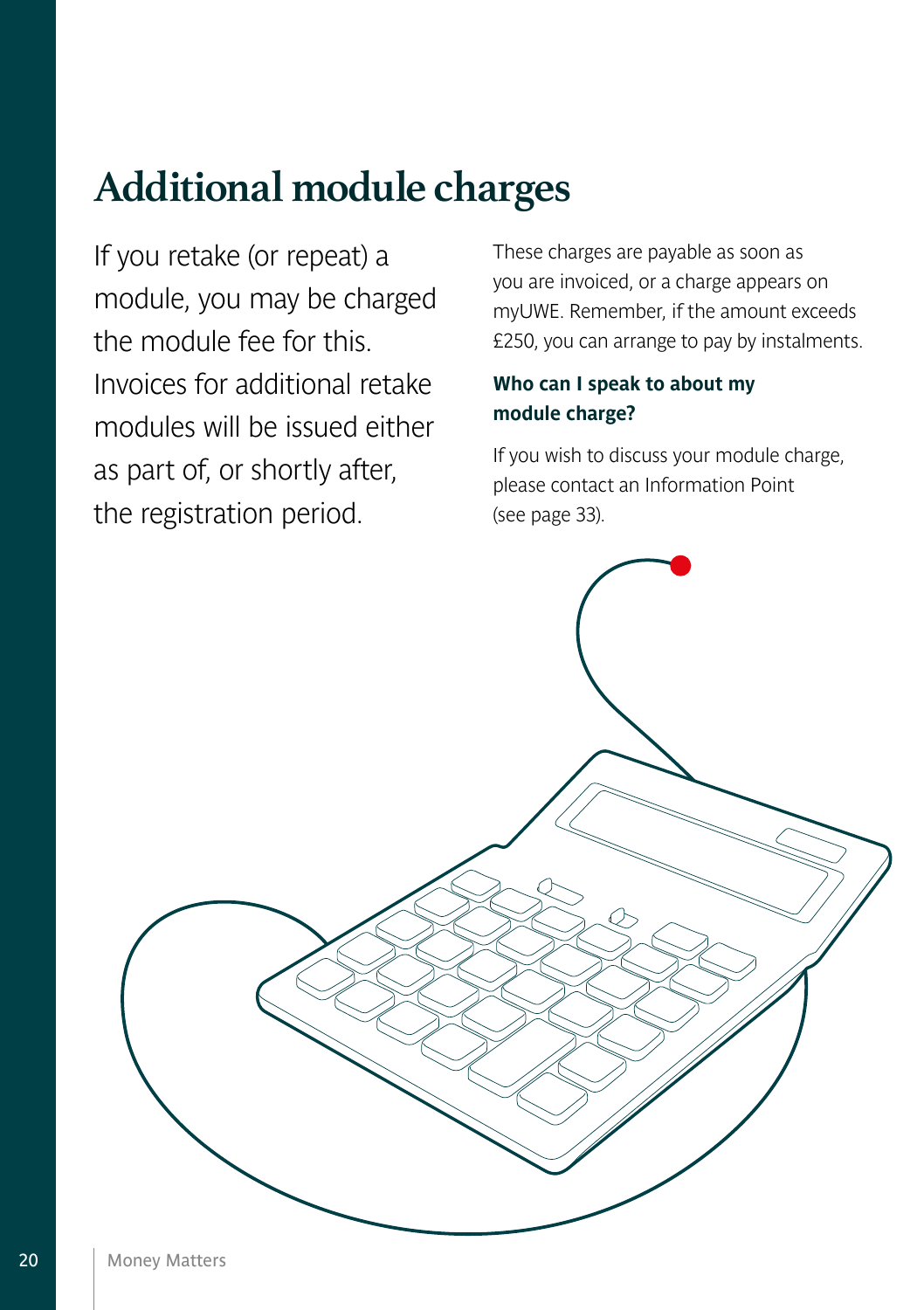## **Additional module charges**

**If you retake (or repeat) a module, you may be charged the module fee for this. Invoices for additional retake modules will be issued either as part of, or shortly after, the registration period.** 

**These charges are payable as soon as you are invoiced, or a charge appears on myUWE. Remember, if the amount exceeds £250, you can arrange to pay by instalments.**

### **Who can I speak to about my module charge?**

**If you wish to discuss your module charge, please contact an Information Point (see page 33).**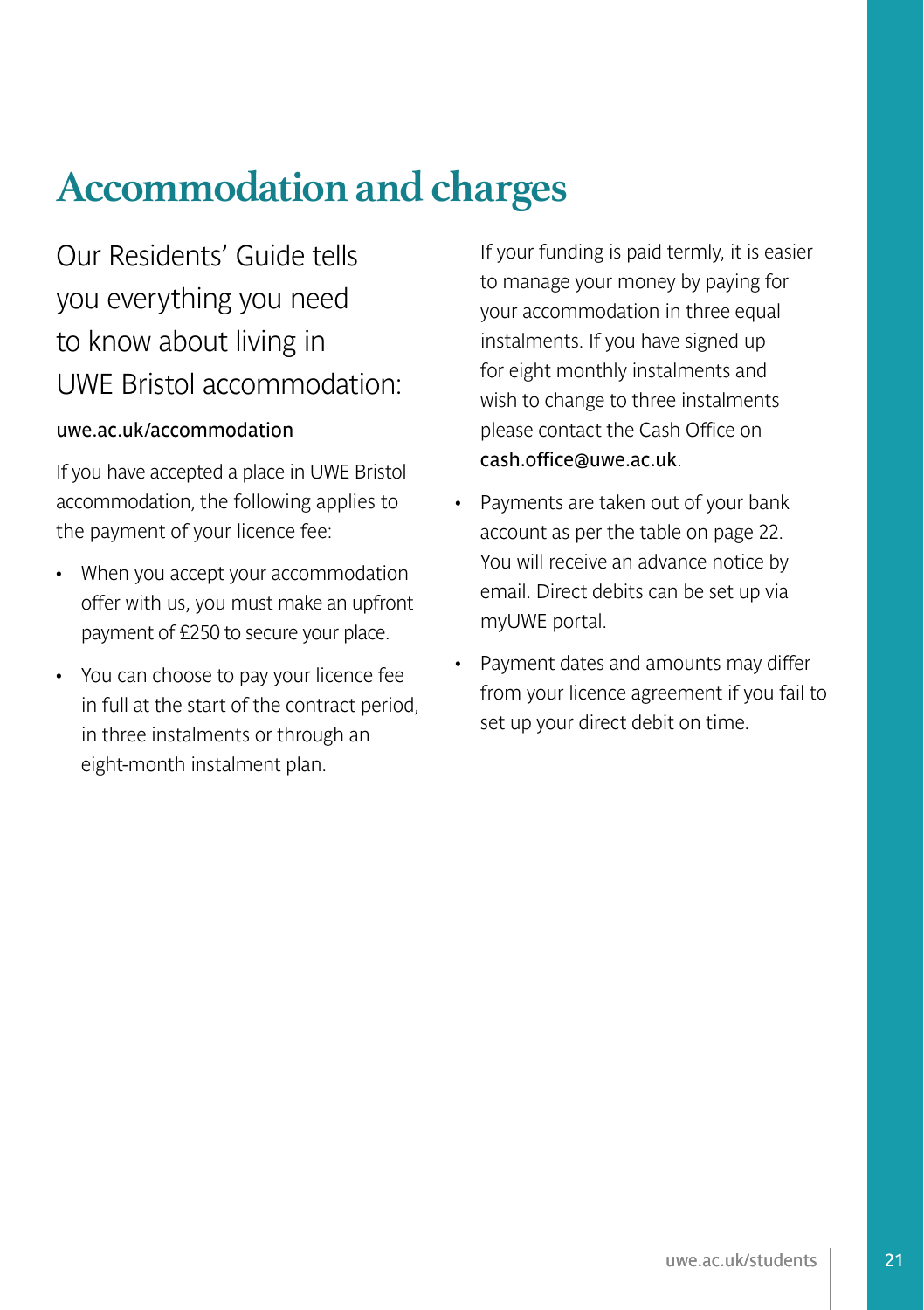## **Accommodation and charges**

**Our Residents' Guide tells you everything you need to know about living in UWE Bristol accommodation:**

### uwe.ac.uk/accommodation

**If you have accepted a place in UWE Bristol accommodation, the following applies to the payment of your licence fee:**

- **• When you accept your accommodation offer with us, you must make an upfront payment of £250 to secure your place.**
- **• You can choose to pay your licence fee in full at the start of the contract period, in three instalments or through an eight-month instalment plan.**

**If your funding is paid termly, it is easier to manage your money by paying for your accommodation in three equal instalments. If you have signed up for eight monthly instalments and wish to change to three instalments please contact the Cash Office on**  cash.office@uwe.ac.uk**.** 

- **• Payments are taken out of your bank account as per the table on page 22. You will receive an advance notice by email. Direct debits can be set up via myUWE portal.**
- **• Payment dates and amounts may differ from your licence agreement if you fail to set up your direct debit on time.**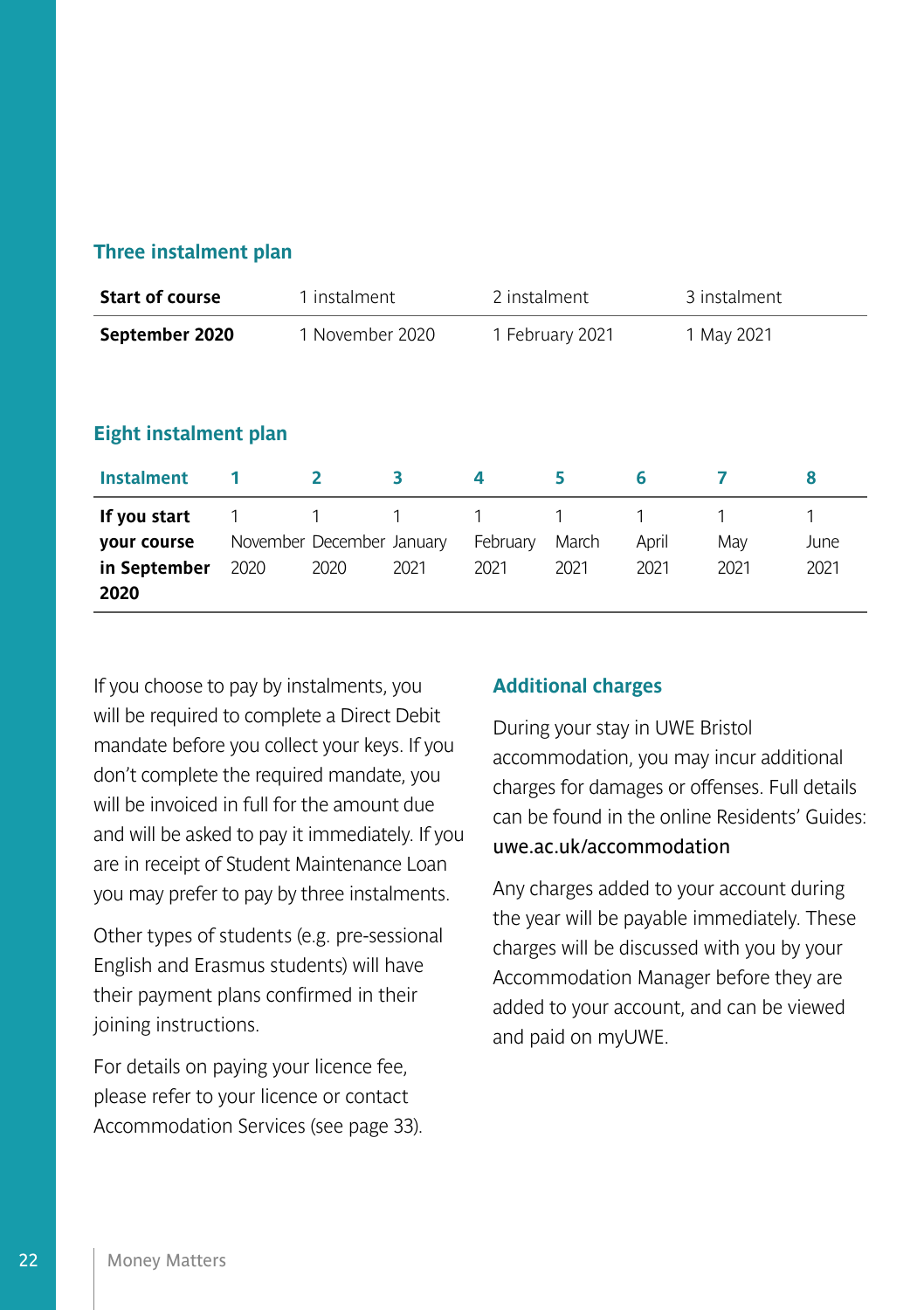#### **Three instalment plan**

| <b>Start of course</b> | 1 instalment    | 2 instalment    | 3 instalment |
|------------------------|-----------------|-----------------|--------------|
| September 2020         | 1 November 2020 | 1 February 2021 | 1 May 2021   |

#### **Eight instalment plan**

| <b>Instalment</b>                                     |      | 2                         |      | 4        | 5.    |       |      |      |
|-------------------------------------------------------|------|---------------------------|------|----------|-------|-------|------|------|
| <b>If you start</b> $1 \t 1 \t 1 \t 1 \t 1 \t 1 \t 1$ |      |                           |      |          |       |       |      |      |
| your course                                           |      | November December January |      | February | March | April | Mav  | June |
| in September<br>2020                                  | 2020 | 2020                      | 2021 | 2021     | 2021  | 2021  | 2021 | 2021 |

**If you choose to pay by instalments, you will be required to complete a Direct Debit mandate before you collect your keys. If you don't complete the required mandate, you will be invoiced in full for the amount due and will be asked to pay it immediately. If you are in receipt of Student Maintenance Loan you may prefer to pay by three instalments.** 

**Other types of students (e.g. pre-sessional English and Erasmus students) will have their payment plans confirmed in their joining instructions.**

**For details on paying your licence fee, please refer to your licence or contact Accommodation Services (see page 33).**

#### **Additional charges**

**During your stay in UWE Bristol accommodation, you may incur additional charges for damages or offenses. Full details can be found in the online Residents' Guides:**  uwe.ac.uk/accommodation

**Any charges added to your account during the year will be payable immediately. These charges will be discussed with you by your Accommodation Manager before they are added to your account, and can be viewed and paid on myUWE.**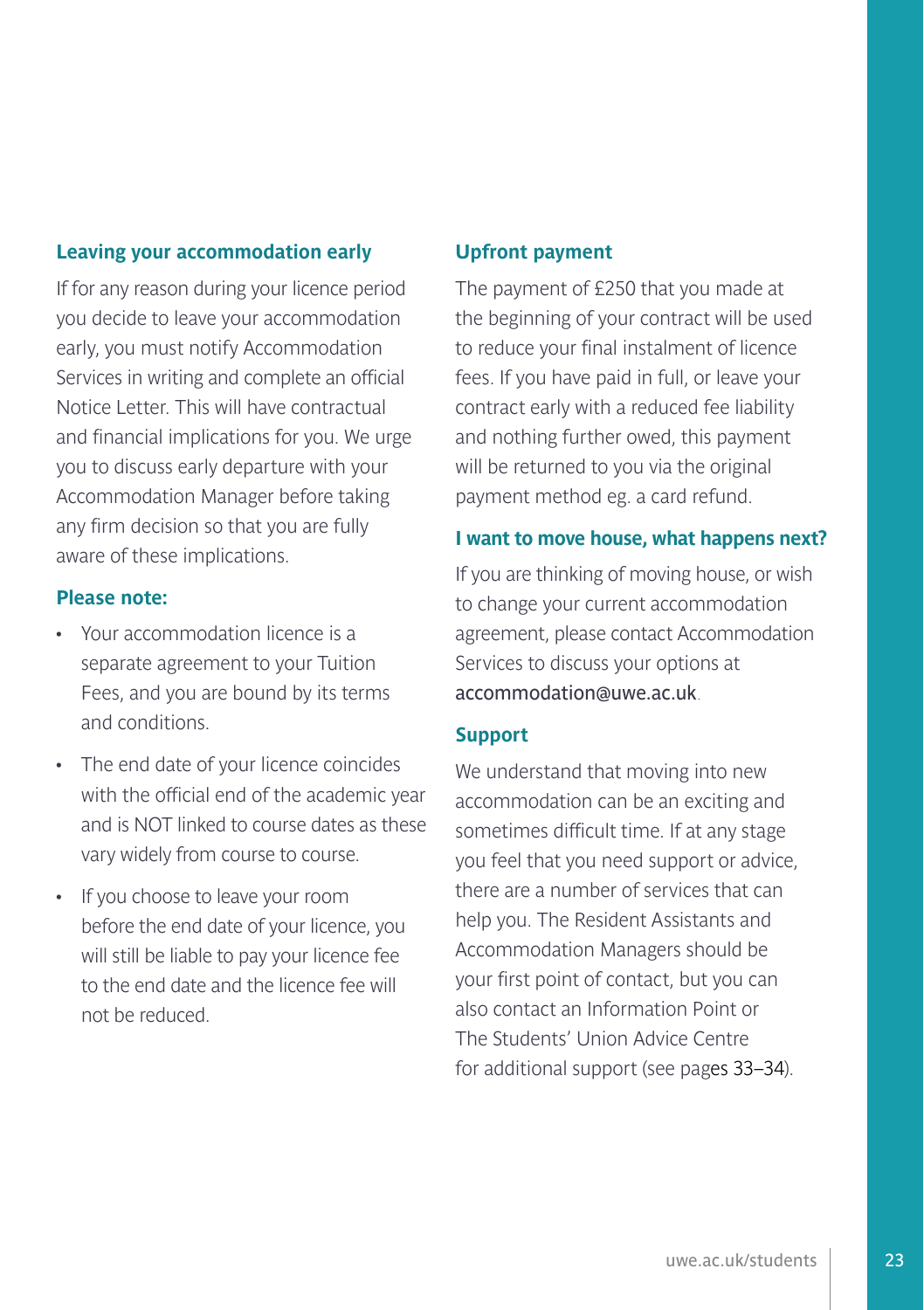#### **Leaving your accommodation early**

**If for any reason during your licence period you decide to leave your accommodation early, you must notify Accommodation Services in writing and complete an official Notice Letter. This will have contractual and financial implications for you. We urge you to discuss early departure with your Accommodation Manager before taking any firm decision so that you are fully aware of these implications.**

#### **Please note:**

- **• Your accommodation licence is a separate agreement to your Tuition Fees, and you are bound by its terms and conditions.**
- **• The end date of your licence coincides with the official end of the academic year and is NOT linked to course dates as these vary widely from course to course.**
- **• If you choose to leave your room before the end date of your licence, you will still be liable to pay your licence fee to the end date and the licence fee will not be reduced.**

#### **Upfront payment**

**The payment of £250 that you made at the beginning of your contract will be used to reduce your final instalment of licence fees. If you have paid in full, or leave your contract early with a reduced fee liability and nothing further owed, this payment will be returned to you via the original payment method eg. a card refund.**

#### **I want to move house, what happens next?**

**If you are thinking of moving house, or wish to change your current accommodation agreement, please contact Accommodation Services to discuss your options at**  accommodation@uwe.ac.uk.

#### **Support**

**We understand that moving into new accommodation can be an exciting and sometimes difficult time. If at any stage you feel that you need support or advice, there are a number of services that can help you. The Resident Assistants and Accommodation Managers should be your first point of contact, but you can also contact an Information Point or The Students' Union Advice Centre for additional support (see pages 33–34).**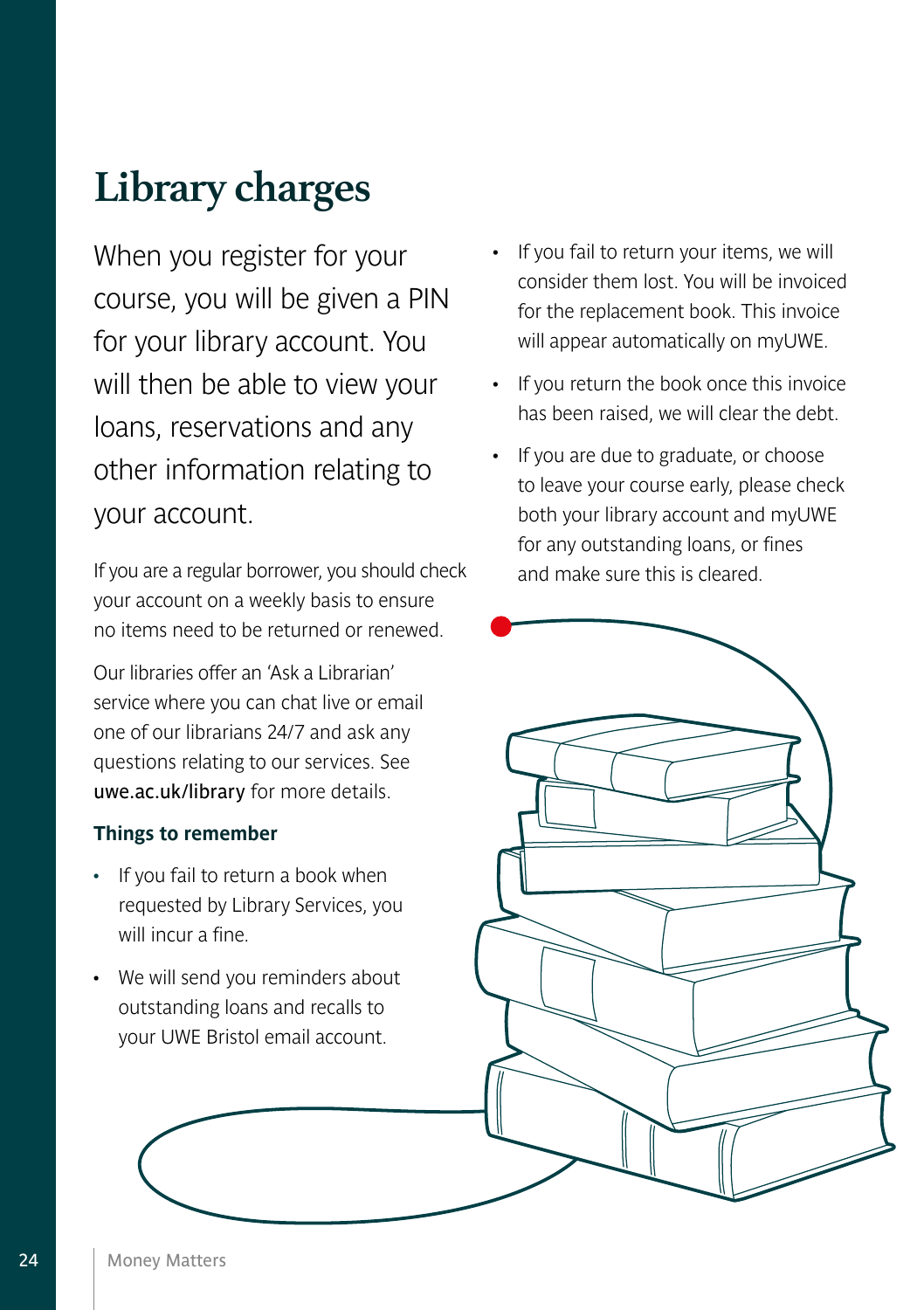## **Library charges**

**When you register for your course, you will be given a PIN for your library account. You will then be able to view your loans, reservations and any other information relating to your account.**

**If you are a regular borrower, you should check your account on a weekly basis to ensure no items need to be returned or renewed.**

**Our libraries offer an 'Ask a Librarian' service where you can chat live or email one of our librarians 24/7 and ask any questions relating to our services. See**  uwe.ac.uk/library **for more details.**

#### **Things to remember**

- **• If you fail to return a book when requested by Library Services, you will incur a fine.**
- **• We will send you reminders about outstanding loans and recalls to your UWE Bristol email account.**
- **• If you fail to return your items, we will consider them lost. You will be invoiced for the replacement book. This invoice will appear automatically on myUWE.**
- **• If you return the book once this invoice has been raised, we will clear the debt.**
- **• If you are due to graduate, or choose to leave your course early, please check both your library account and myUWE for any outstanding loans, or fines and make sure this is cleared.**

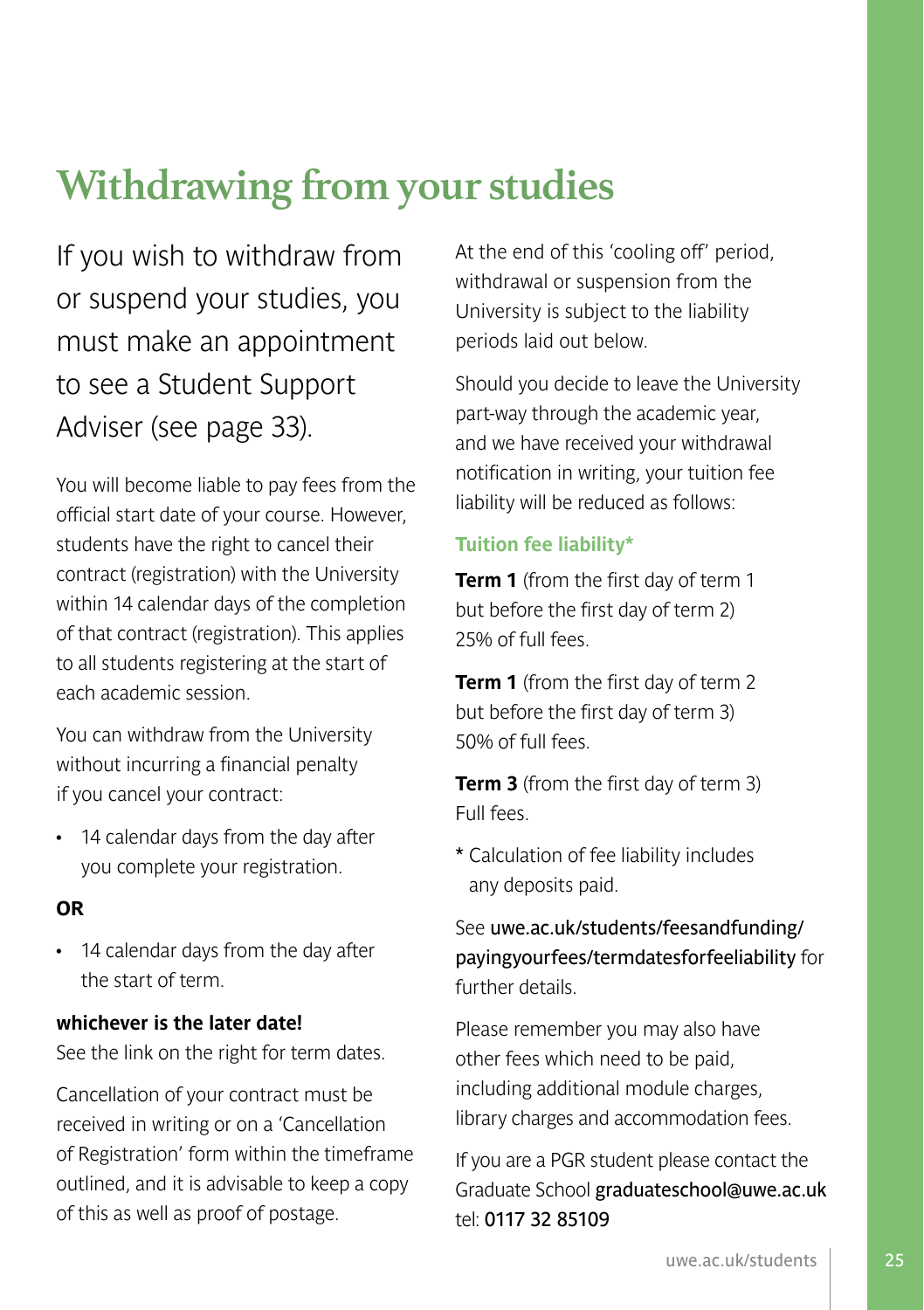# **Withdrawing from your studies**

**If you wish to withdraw from or suspend your studies, you must make an appointment to see a Student Support Adviser (see page 33).**

**You will become liable to pay fees from the official start date of your course. However, students have the right to cancel their contract (registration) with the University within 14 calendar days of the completion of that contract (registration). This applies to all students registering at the start of each academic session.**

**You can withdraw from the University without incurring a financial penalty if you cancel your contract:**

**• 14 calendar days from the day after you complete your registration.**

#### **OR**

**• 14 calendar days from the day after the start of term.**

#### **whichever is the later date!**

**See the link on the right for term dates.**

**Cancellation of your contract must be received in writing or on a 'Cancellation of Registration' form within the timeframe outlined, and it is advisable to keep a copy of this as well as proof of postage.**

**At the end of this 'cooling off' period, withdrawal or suspension from the University is subject to the liability periods laid out below.**

**Should you decide to leave the University part-way through the academic year, and we have received your withdrawal notification in writing, your tuition fee liability will be reduced as follows:**

### **Tuition fee liability\***

**Term 1 (from the first day of term 1 but before the first day of term 2) 25% of full fees.**

**Term 1 (from the first day of term 2 but before the first day of term 3) 50% of full fees.**

**Term 3 (from the first day of term 3) Full fees.**

\* **Calculation of fee liability includes any deposits paid.**

**See** uwe.ac.uk/students/feesandfunding/ payingyourfees/termdatesforfeeliability **for further details.**

**Please remember you may also have other fees which need to be paid, including additional module charges, library charges and accommodation fees.**

**If you are a PGR student please contact the Graduate School** graduateschool@uwe.ac.uk **tel:** 0117 32 85109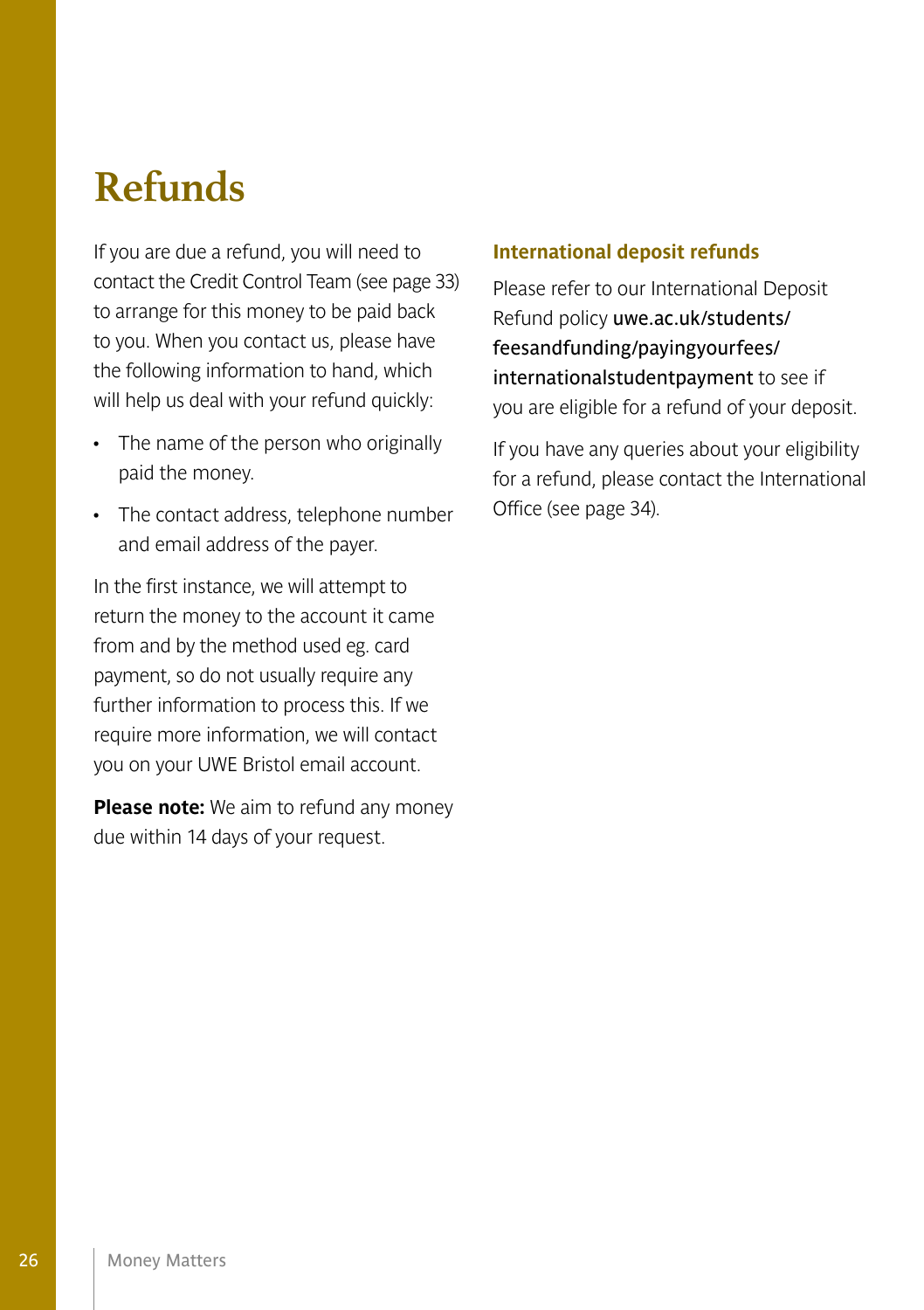## **Refunds**

**If you are due a refund, you will need to contact the Credit Control Team (see page 33) to arrange for this money to be paid back to you. When you contact us, please have the following information to hand, which will help us deal with your refund quickly:**

- **• The name of the person who originally paid the money.**
- **• The contact address, telephone number and email address of the payer.**

**In the first instance, we will attempt to return the money to the account it came from and by the method used eg. card payment, so do not usually require any further information to process this. If we require more information, we will contact you on your UWE Bristol email account.**

**Please note: We aim to refund any money due within 14 days of your request.**

#### **International deposit refunds**

**Please refer to our International Deposit Refund policy** uwe.ac.uk/students/ feesandfunding/payingyourfees/ internationalstudentpayment **to see if you are eligible for a refund of your deposit.**

**If you have any queries about your eligibility for a refund, please contact the International Office (see page 34).**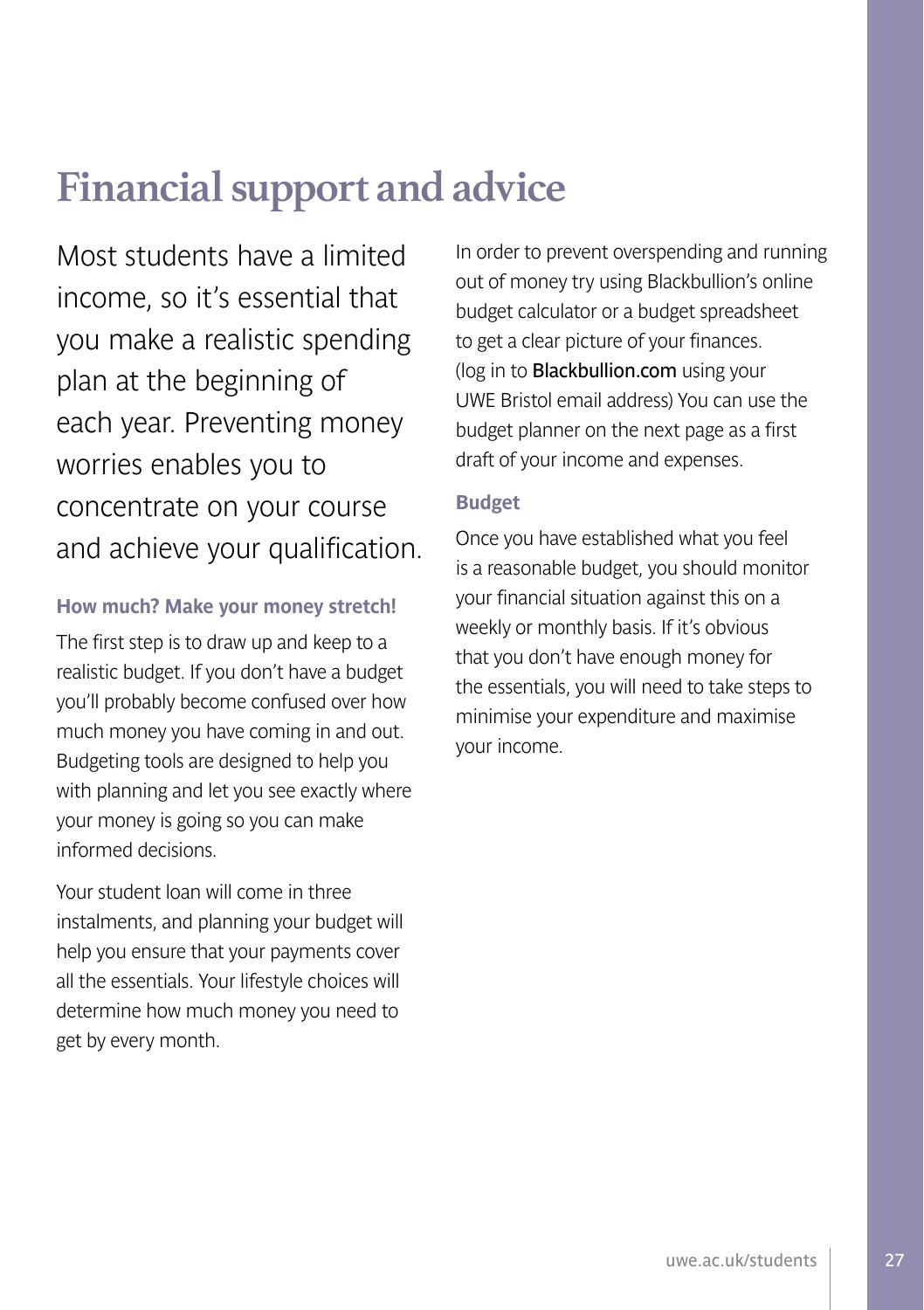## **Financial support and advice**

**Most students have a limited income, so it's essential that you make a realistic spending plan at the beginning of each year. Preventing money worries enables you to concentrate on your course and achieve your qualification.**

#### **How much? Make your money stretch!**

**The first step is to draw up and keep to a realistic budget. If you don't have a budget you'll probably become confused over how much money you have coming in and out. Budgeting tools are designed to help you with planning and let you see exactly where your money is going so you can make informed decisions.**

**Your student loan will come in three instalments, and planning your budget will help you ensure that your payments cover all the essentials. Your lifestyle choices will determine how much money you need to get by every month.**

**In order to prevent overspending and running out of money try using Blackbullion's online budget calculator or a budget spreadsheet to get a clear picture of your finances. (log in to** Blackbullion.com **using your UWE Bristol email address) You can use the budget planner on the next page as a first draft of your income and expenses.**

#### **Budget**

**Once you have established what you feel is a reasonable budget, you should monitor your financial situation against this on a weekly or monthly basis. If it's obvious that you don't have enough money for the essentials, you will need to take steps to minimise your expenditure and maximise your income.**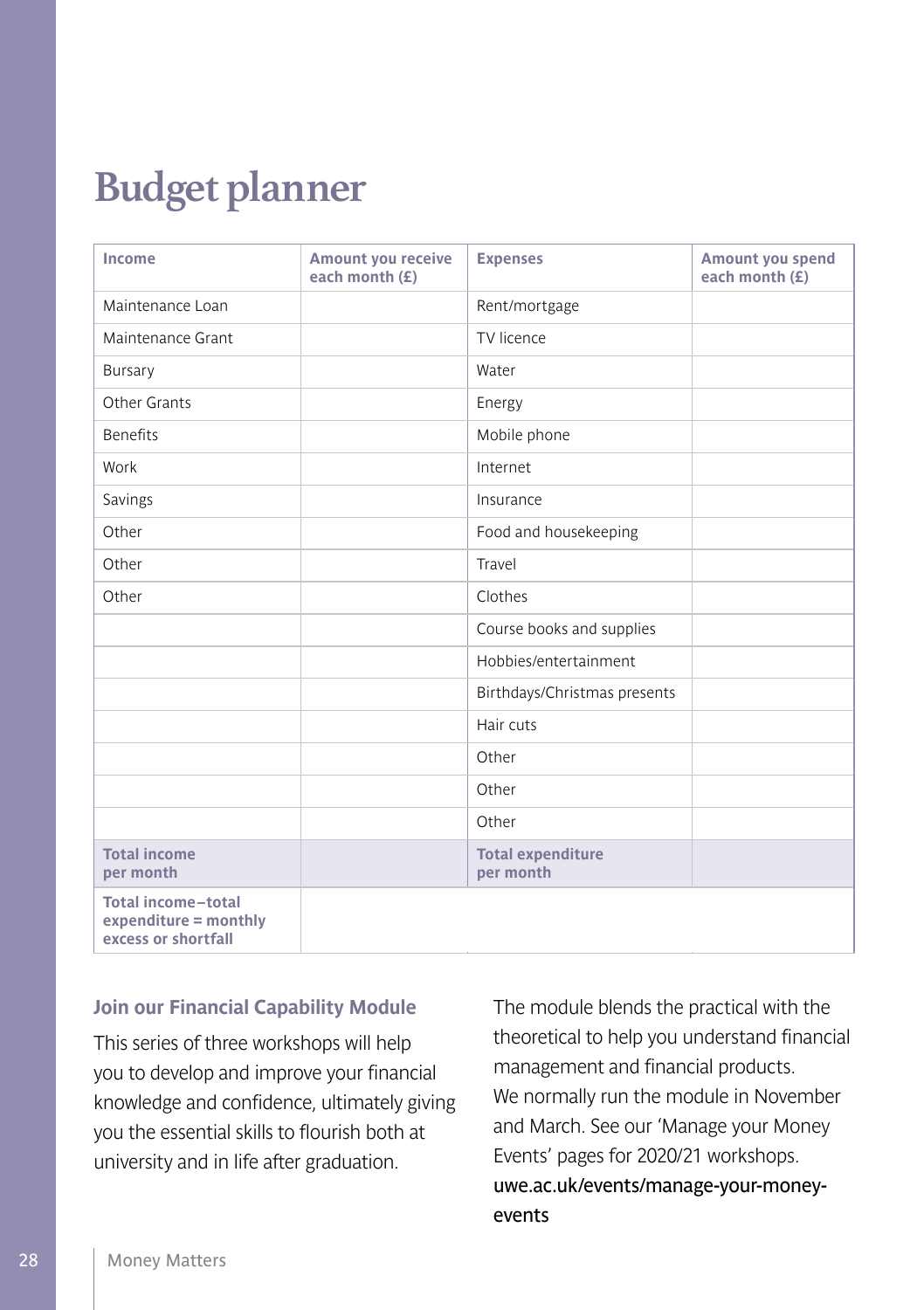# **Budget planner**

| Income                                                                    | <b>Amount you receive</b><br>each month $(E)$ | <b>Expenses</b>                       | Amount you spend<br>each month $(E)$ |
|---------------------------------------------------------------------------|-----------------------------------------------|---------------------------------------|--------------------------------------|
| Maintenance Loan                                                          |                                               | Rent/mortgage                         |                                      |
| Maintenance Grant                                                         |                                               | TV licence                            |                                      |
| Bursary                                                                   |                                               | Water                                 |                                      |
| Other Grants                                                              |                                               | Energy                                |                                      |
| <b>Benefits</b>                                                           |                                               | Mobile phone                          |                                      |
| Work                                                                      |                                               | Internet                              |                                      |
| Savings                                                                   |                                               | Insurance                             |                                      |
| Other                                                                     |                                               | Food and housekeeping                 |                                      |
| Other                                                                     |                                               | Travel                                |                                      |
| Other                                                                     |                                               | Clothes                               |                                      |
|                                                                           |                                               | Course books and supplies             |                                      |
|                                                                           |                                               | Hobbies/entertainment                 |                                      |
|                                                                           |                                               | Birthdays/Christmas presents          |                                      |
|                                                                           |                                               | Hair cuts                             |                                      |
|                                                                           |                                               | Other                                 |                                      |
|                                                                           |                                               | Other                                 |                                      |
|                                                                           |                                               | Other                                 |                                      |
| <b>Total income</b><br>per month                                          |                                               | <b>Total expenditure</b><br>per month |                                      |
| <b>Total income-total</b><br>expenditure = monthly<br>excess or shortfall |                                               |                                       |                                      |

#### **Join our Financial Capability Module**

**This series of three workshops will help you to develop and improve your financial knowledge and confidence, ultimately giving you the essential skills to flourish both at university and in life after graduation.** 

**The module blends the practical with the theoretical to help you understand financial management and financial products. We normally run the module in November and March. See our 'Manage your Money Events' pages for 2020/21 workshops.** uwe.ac.uk/events/manage-your-moneyevents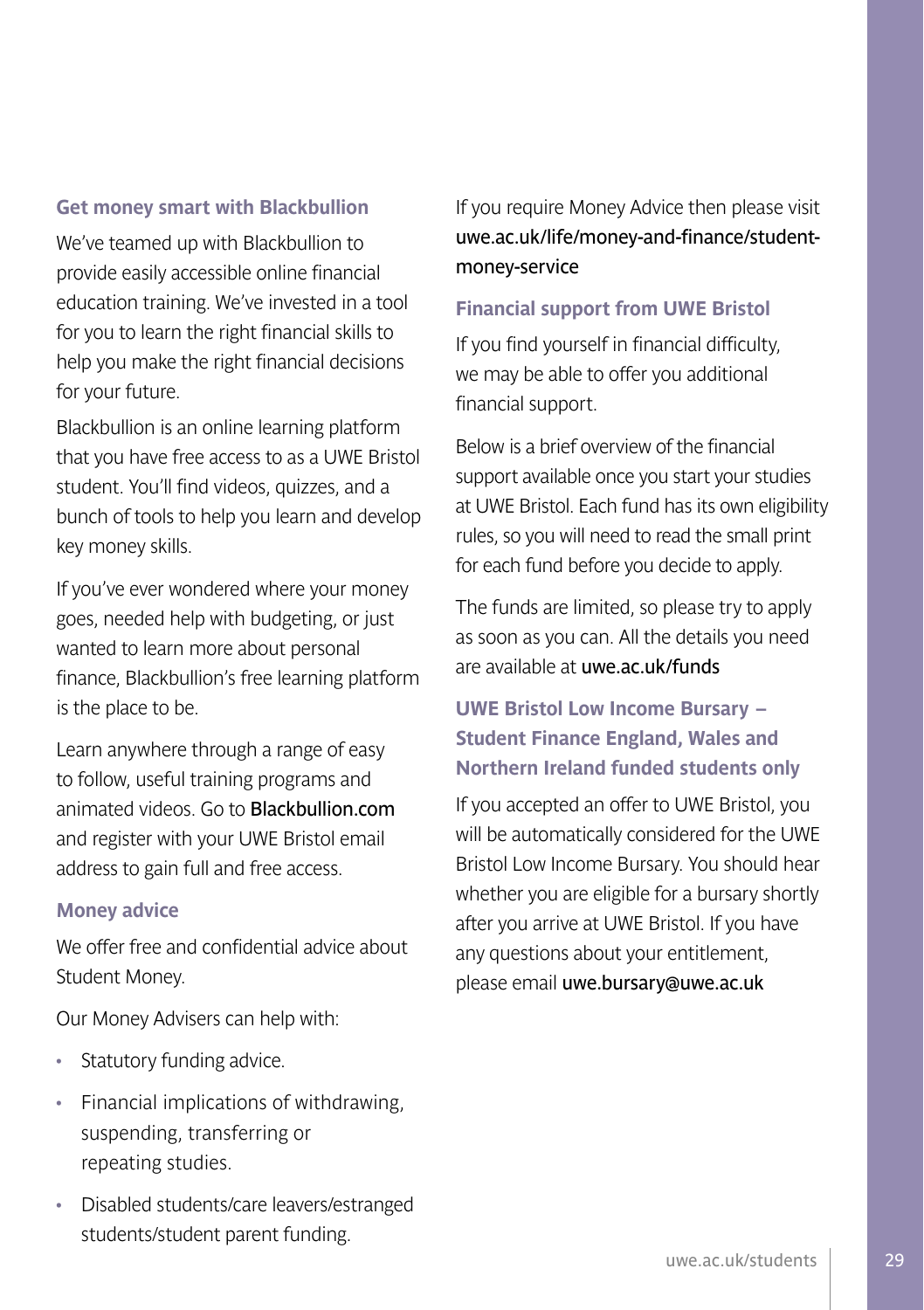#### **Get money smart with Blackbullion**

**We've teamed up with Blackbullion to provide easily accessible online financial education training. We've invested in a tool for you to learn the right financial skills to help you make the right financial decisions for your future.**

**Blackbullion is an online learning platform that you have free access to as a UWE Bristol student. You'll find videos, quizzes, and a bunch of tools to help you learn and develop key money skills.**

**If you've ever wondered where your money goes, needed help with budgeting, or just wanted to learn more about personal finance, Blackbullion's free learning platform is the place to be.**

**Learn anywhere through a range of easy to follow, useful training programs and animated videos. Go to** Blackbullion.com **and register with your UWE Bristol email address to gain full and free access.**

#### **Money advice**

**We offer free and confidential advice about Student Money.**

**Our Money Advisers can help with:**

- **• Statutory funding advice.**
- **• Financial implications of withdrawing, suspending, transferring or repeating studies.**
- **• Disabled students/care leavers/estranged students/student parent funding.**

**If you require Money Advice then please visit**  uwe.ac.uk/life/money-and-finance/studentmoney-service

### **Financial support from UWE Bristol**

**If you find yourself in financial difficulty, we may be able to offer you additional financial support.** 

**Below is a brief overview of the financial support available once you start your studies at UWE Bristol. Each fund has its own eligibility rules, so you will need to read the small print for each fund before you decide to apply.**

**The funds are limited, so please try to apply as soon as you can. All the details you need are available at** uwe.ac.uk/funds

## **UWE Bristol Low Income Bursary – Student Finance England, Wales and Northern Ireland funded students only**

**If you accepted an offer to UWE Bristol, you will be automatically considered for the UWE Bristol Low Income Bursary. You should hear whether you are eligible for a bursary shortly after you arrive at UWE Bristol. If you have any questions about your entitlement, please email** uwe.bursary@uwe.ac.uk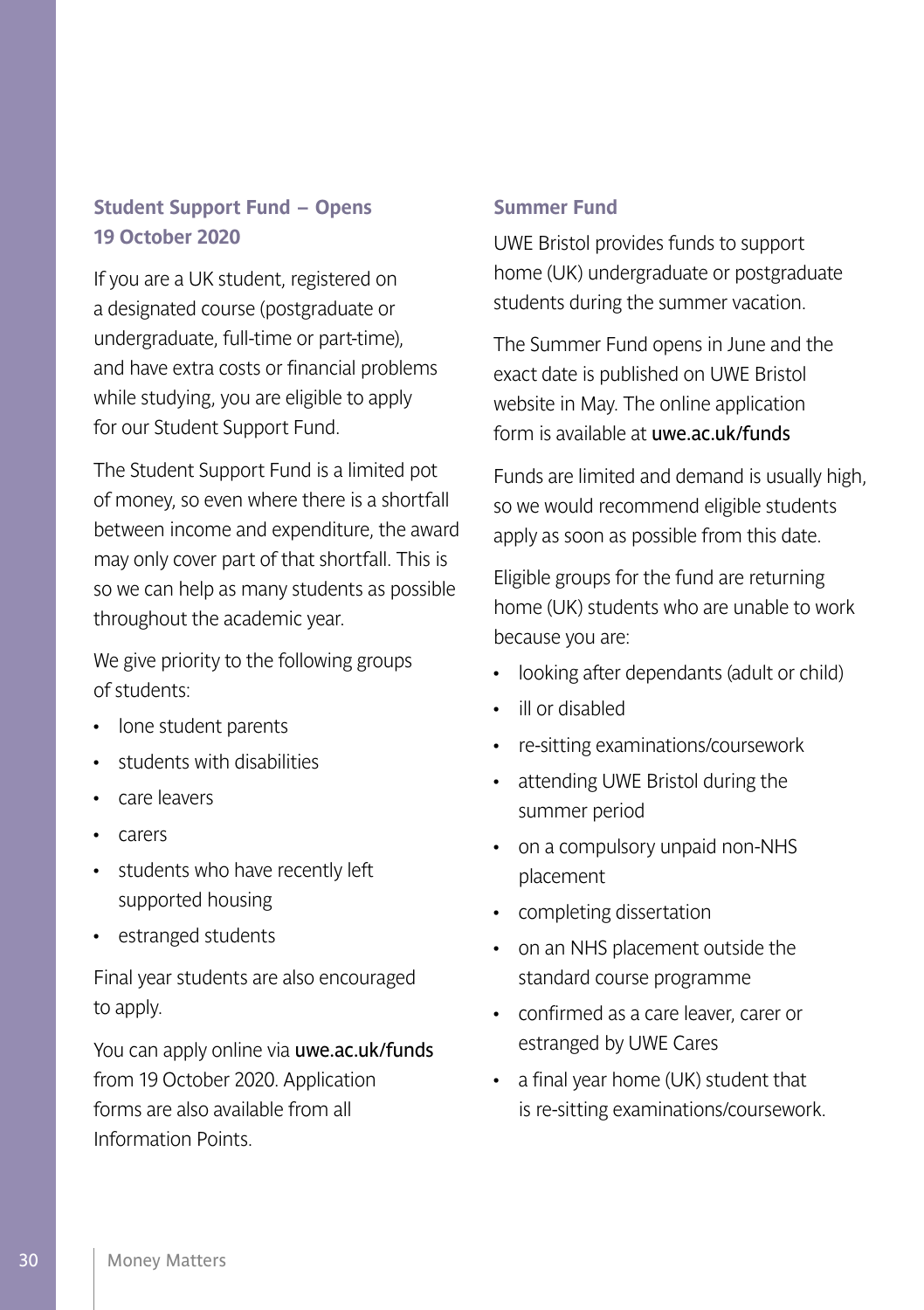### **Student Support Fund – Opens 19 October 2020**

**If you are a UK student, registered on a designated course (postgraduate or undergraduate, full-time or part-time), and have extra costs or financial problems while studying, you are eligible to apply for our Student Support Fund.**

**The Student Support Fund is a limited pot of money, so even where there is a shortfall between income and expenditure, the award may only cover part of that shortfall. This is so we can help as many students as possible throughout the academic year.**

**We give priority to the following groups of students:**

- **• lone student parents**
- **• students with disabilities**
- **• care leavers**
- **• carers**
- **• students who have recently left supported housing**
- **• estranged students**

**Final year students are also encouraged to apply.**

**You can apply online via** uwe.ac.uk/funds **from 19 October 2020. Application forms are also available from all Information Points.**

#### **Summer Fund**

**UWE Bristol provides funds to support home (UK) undergraduate or postgraduate students during the summer vacation.**

**The Summer Fund opens in June and the exact date is published on UWE Bristol website in May. The online application form is available at** uwe.ac.uk/funds

**Funds are limited and demand is usually high, so we would recommend eligible students apply as soon as possible from this date.**

**Eligible groups for the fund are returning home (UK) students who are unable to work because you are:**

- **• looking after dependants (adult or child)**
- **• ill or disabled**
- **• re-sitting examinations/coursework**
- **• attending UWE Bristol during the summer period**
- **• on a compulsory unpaid non-NHS placement**
- **• completing dissertation**
- **• on an NHS placement outside the standard course programme**
- **• confirmed as a care leaver, carer or estranged by UWE Cares**
- **• a final year home (UK) student that is re-sitting examinations/coursework.**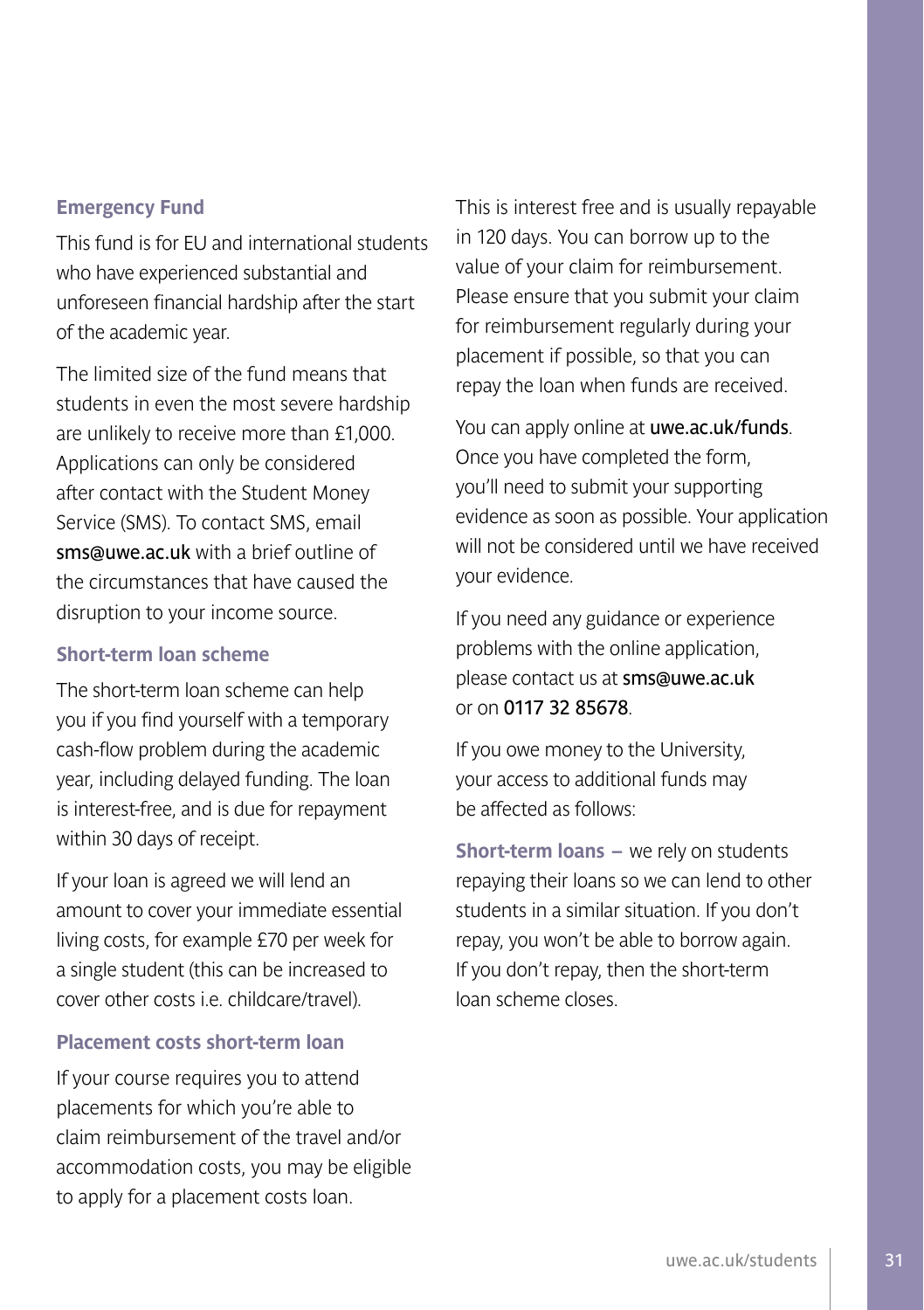#### **Emergency Fund**

**This fund is for EU and international students who have experienced substantial and unforeseen financial hardship after the start of the academic year.**

**The limited size of the fund means that students in even the most severe hardship are unlikely to receive more than £1,000. Applications can only be considered after contact with the Student Money Service (SMS). To contact SMS, email**  sms@uwe.ac.uk **with a brief outline of the circumstances that have caused the disruption to your income source.**

#### **Short-term loan scheme**

**The short-term loan scheme can help you if you find yourself with a temporary cash-flow problem during the academic year, including delayed funding. The loan is interest-free, and is due for repayment within 30 days of receipt.**

**If your loan is agreed we will lend an amount to cover your immediate essential living costs, for example £70 per week for a single student (this can be increased to cover other costs i.e. childcare/travel).**

#### **Placement costs short-term loan**

**If your course requires you to attend placements for which you're able to claim reimbursement of the travel and/or accommodation costs, you may be eligible to apply for a placement costs loan.** 

**This is interest free and is usually repayable in 120 days. You can borrow up to the value of your claim for reimbursement. Please ensure that you submit your claim for reimbursement regularly during your placement if possible, so that you can repay the loan when funds are received.**

**You can apply online at** uwe.ac.uk/funds**. Once you have completed the form, you'll need to submit your supporting evidence as soon as possible. Your application will not be considered until we have received your evidence.**

**If you need any guidance or experience problems with the online application, please contact us at** sms@uwe.ac.uk **or on** 0117 32 85678**.** 

**If you owe money to the University, your access to additional funds may be affected as follows:** 

**Short-term loans – we rely on students repaying their loans so we can lend to other students in a similar situation. If you don't repay, you won't be able to borrow again. If you don't repay, then the short-term loan scheme closes.**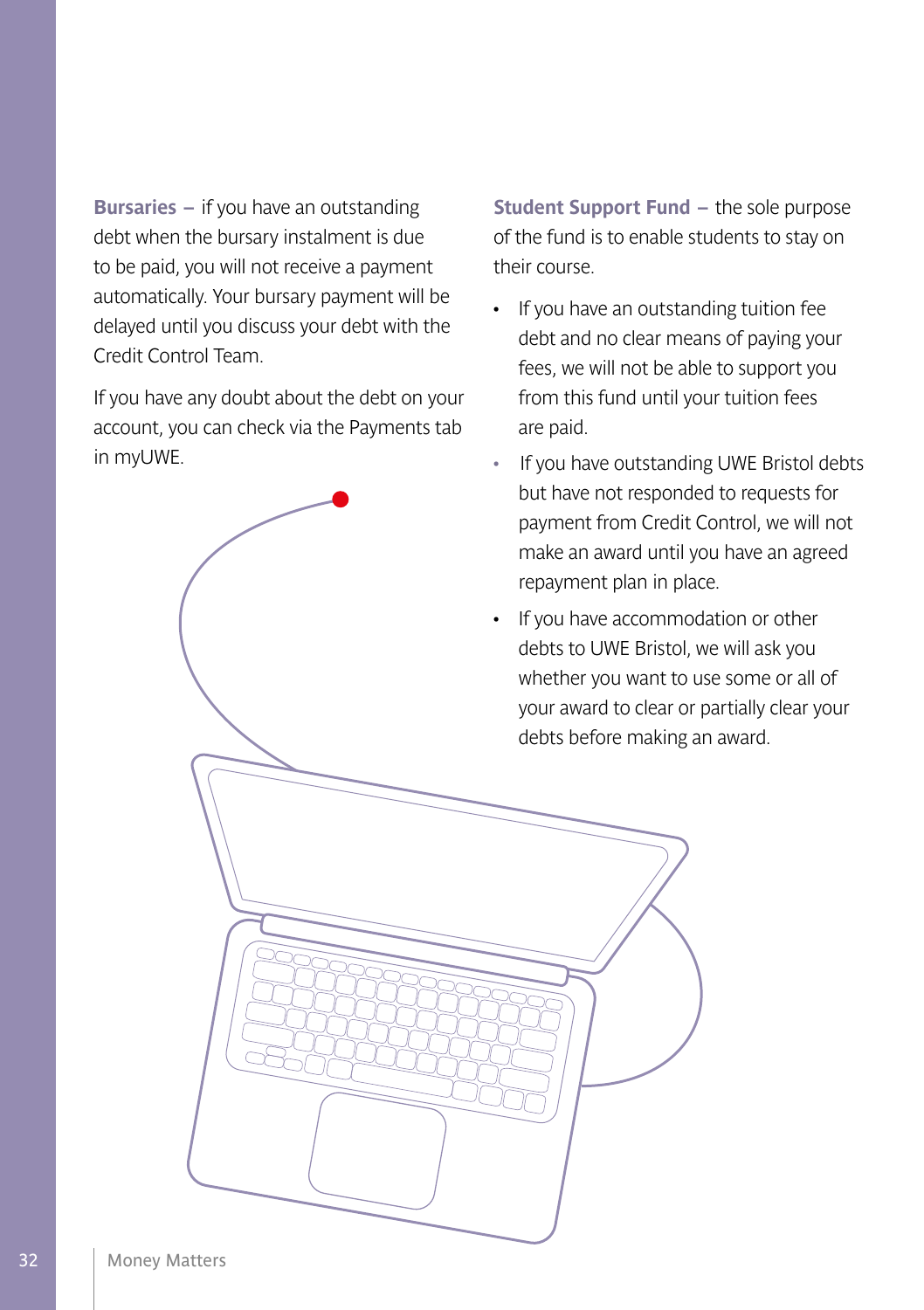**Bursaries – if you have an outstanding debt when the bursary instalment is due to be paid, you will not receive a payment automatically. Your bursary payment will be delayed until you discuss your debt with the Credit Control Team.** 

**If you have any doubt about the debt on your account, you can check via the Payments tab in myUWE.**

**Student Support Fund – the sole purpose of the fund is to enable students to stay on their course.** 

- **• If you have an outstanding tuition fee debt and no clear means of paying your fees, we will not be able to support you from this fund until your tuition fees are paid.**
- **• If you have outstanding UWE Bristol debts but have not responded to requests for payment from Credit Control, we will not make an award until you have an agreed repayment plan in place.**
- **• If you have accommodation or other debts to UWE Bristol, we will ask you whether you want to use some or all of your award to clear or partially clear your debts before making an award.**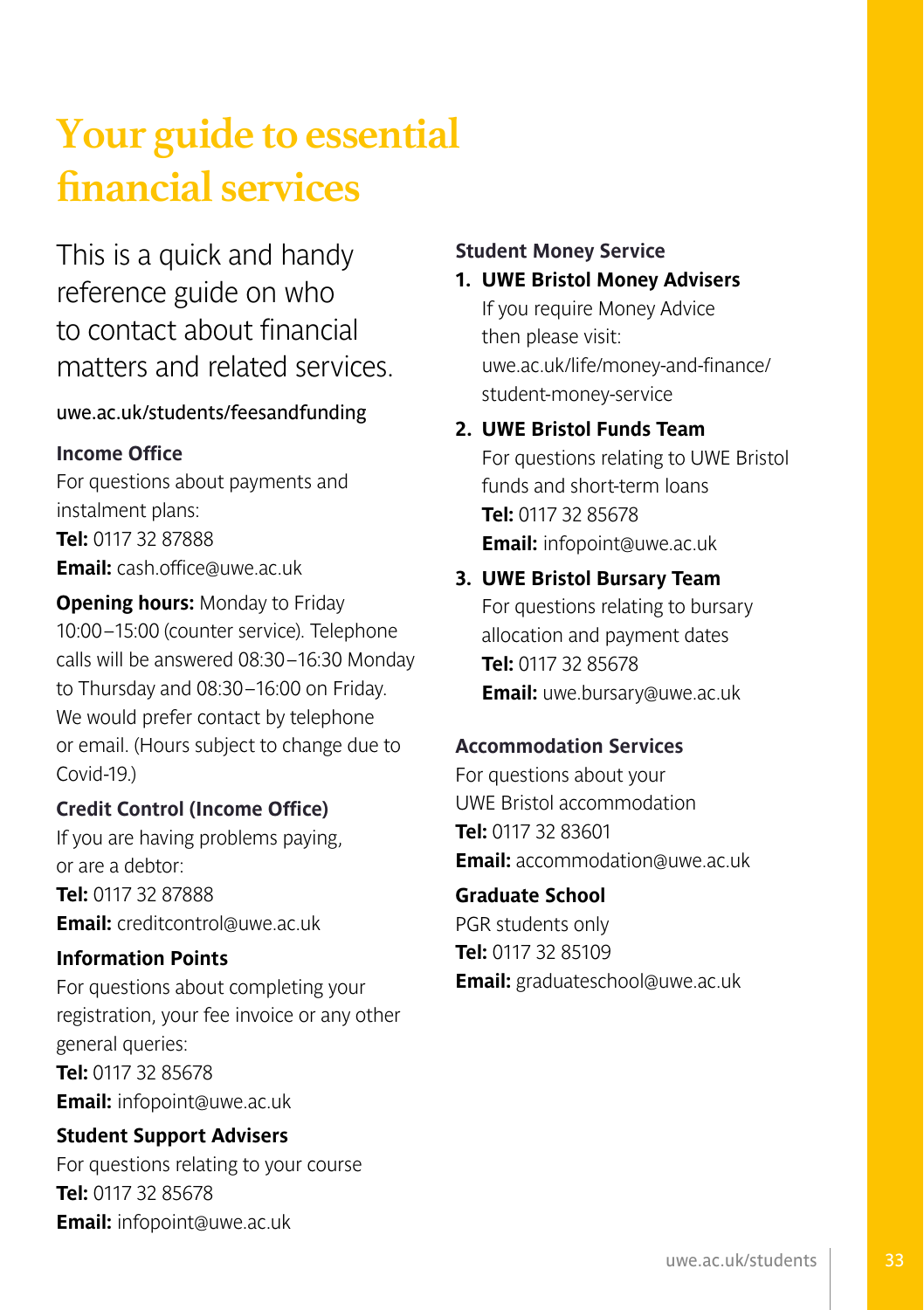## **Your guide to essential financial services**

**This is a quick and handy reference guide on who to contact about financial matters and related services.** 

### uwe.ac.uk/students/feesandfunding

### **Income Office**

**For questions about payments and instalment plans: Tel: 0117 32 87888 Email: cash.office@uwe.ac.uk**

**Opening hours: Monday to Friday 10:00 – 15:00 (counter service). Telephone calls will be answered 08:30 – 16:30 Monday to Thursday and 08:30 – 16:00 on Friday. We would prefer contact by telephone or email. (Hours subject to change due to Covid-19.)**

## **Credit Control (Income Office)**

**If you are having problems paying, or are a debtor: Tel: 0117 32 87888 Email: creditcontrol@uwe.ac.uk**

### **Information Points**

**For questions about completing your registration, your fee invoice or any other general queries: Tel: 0117 32 85678 Email: infopoint@uwe.ac.uk**

### **Student Support Advisers**

**For questions relating to your course Tel: 0117 32 85678 Email: infopoint@uwe.ac.uk**

#### **Student Money Service**

**1. UWE Bristol Money Advisers If you require Money Advice then please visit: uwe.ac.uk/life/money-and-finance/ student-money-service**

### **2. UWE Bristol Funds Team**

**For questions relating to UWE Bristol funds and short-term loans Tel: 0117 32 85678 Email: infopoint@uwe.ac.uk**

### **3. UWE Bristol Bursary Team**

**For questions relating to bursary allocation and payment dates Tel: 0117 32 85678 Email: uwe.bursary@uwe.ac.uk**

### **Accommodation Services**

**For questions about your UWE Bristol accommodation Tel: 0117 32 83601 Email: accommodation@uwe.ac.uk**

## **Graduate School**

**PGR students only Tel: 0117 32 85109 Email: graduateschool@uwe.ac.uk**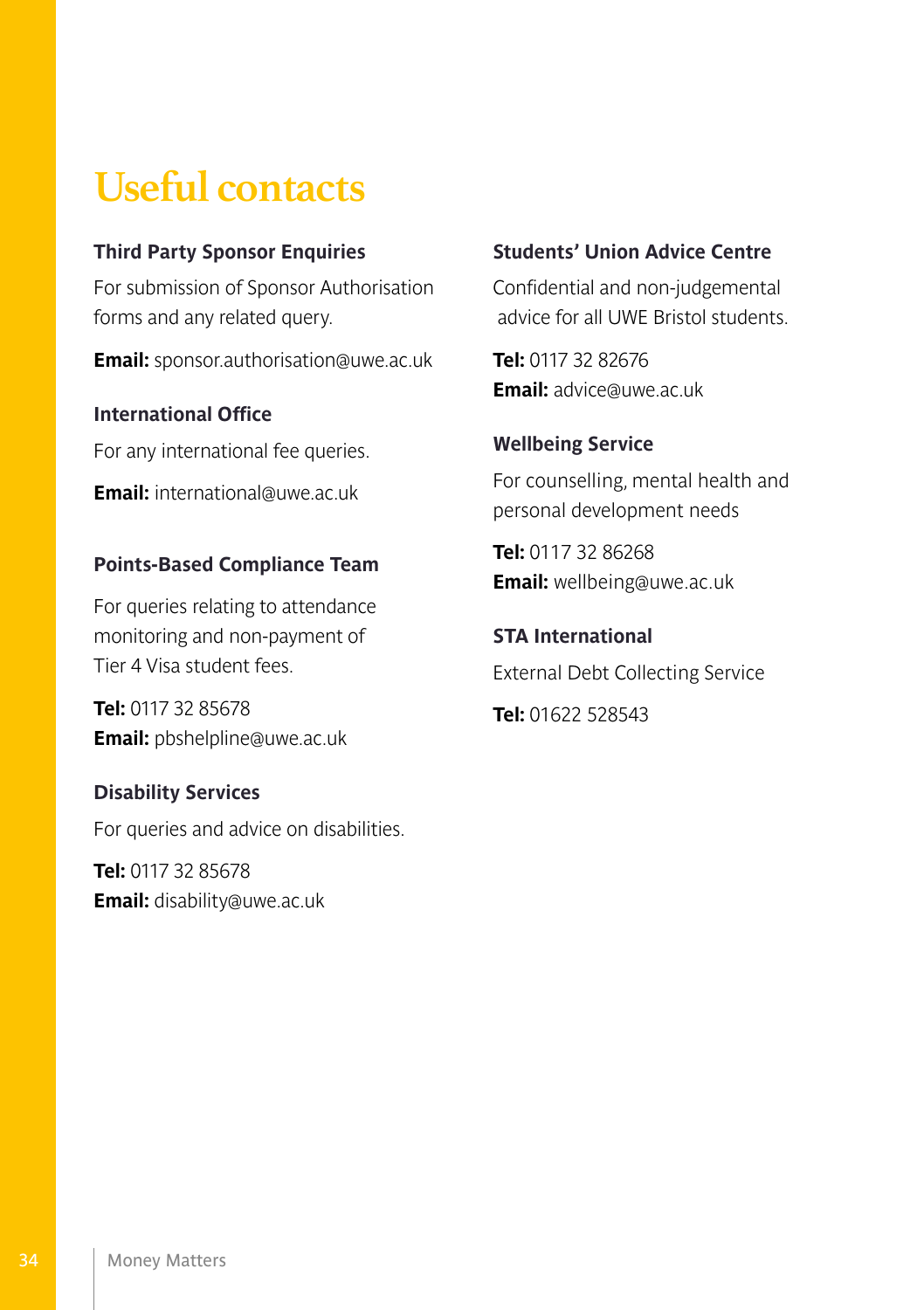## **Useful contacts**

#### **Third Party Sponsor Enquiries**

**For submission of Sponsor Authorisation forms and any related query.**

**Email: sponsor.authorisation@uwe.ac.uk** 

#### **International Office**

**For any international fee queries.**

**Email: international@uwe.ac.uk**

#### **Points-Based Compliance Team**

**For queries relating to attendance monitoring and non-payment of Tier 4 Visa student fees.**

**Tel: 0117 32 85678 Email: pbshelpline@uwe.ac.uk**

### **Disability Services**

**For queries and advice on disabilities.**

**Tel: 0117 32 85678 Email: disability@uwe.ac.uk**

#### **Students' Union Advice Centre**

**Confidential and non-judgemental advice for all UWE Bristol students.**

**Tel: 0117 32 82676 Email: advice@uwe.ac.uk**

## **Wellbeing Service For counselling, mental health and personal development needs**

**Tel: 0117 32 86268 Email: wellbeing@uwe.ac.uk**

**STA International External Debt Collecting Service Tel: 01622 528543**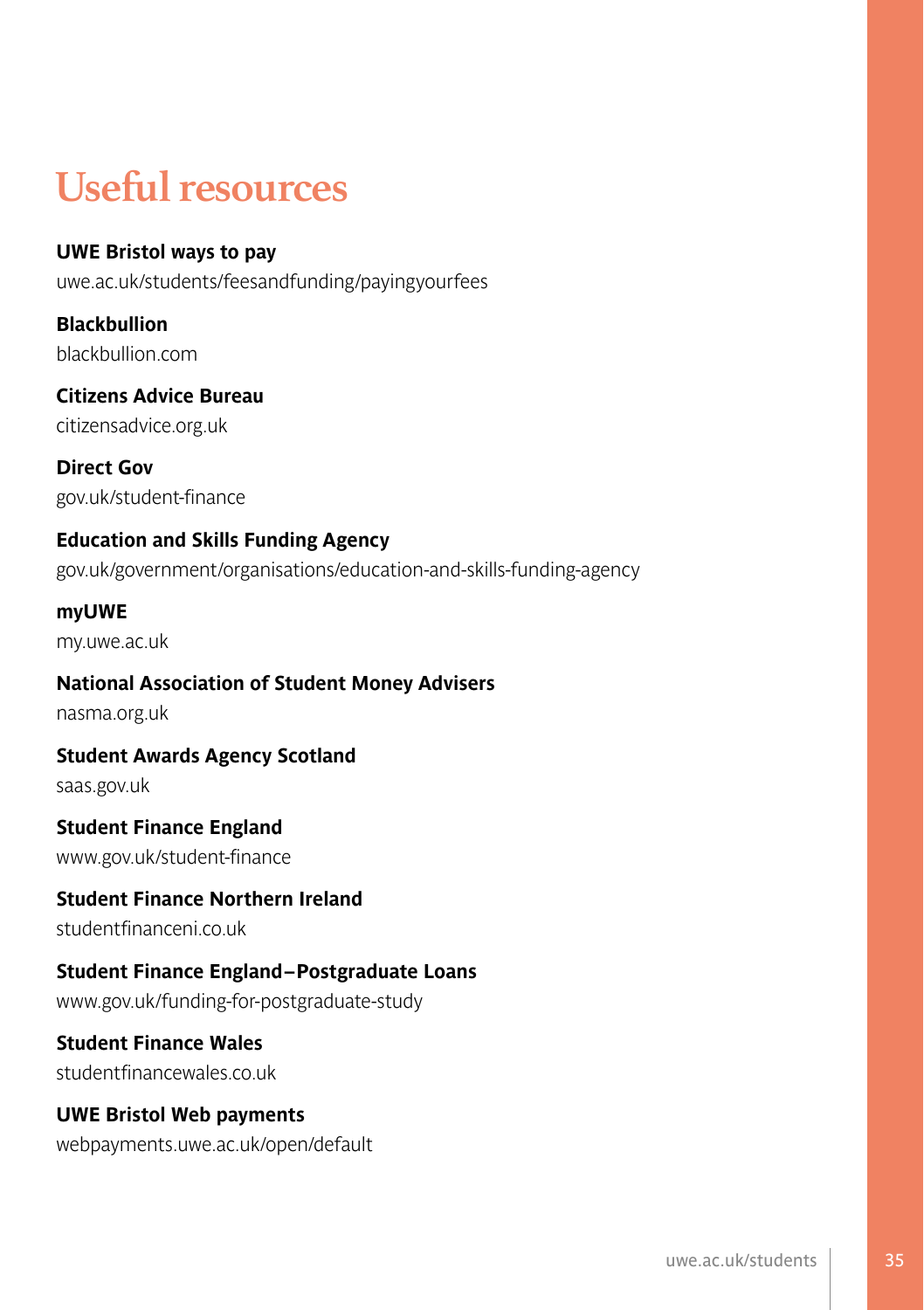# **Useful resources**

## **UWE Bristol ways to pay**

**uwe.ac.uk/students/feesandfunding/payingyourfees**

**Blackbullion blackbullion.com**

**Citizens Advice Bureau citizensadvice.org.uk**

**Direct Gov gov.uk/student-finance**

## **Education and Skills Funding Agency gov.uk/government/organisations/education-and-skills-funding-agency**

#### **myUWE**

**my.uwe.ac.uk**

## **National Association of Student Money Advisers**

**nasma.org.uk**

## **Student Awards Agency Scotland**

**saas.gov.uk**

## **Student Finance England**

**www.gov.uk/student-finance**

### **Student Finance Northern Ireland**

**studentfinanceni.co.uk**

### **Student Finance England – Postgraduate Loans**

**www.gov.uk/funding-for-postgraduate-study**

## **Student Finance Wales**

**studentfinancewales.co.uk**

### **UWE Bristol Web payments**

**webpayments.uwe.ac.uk/open/default**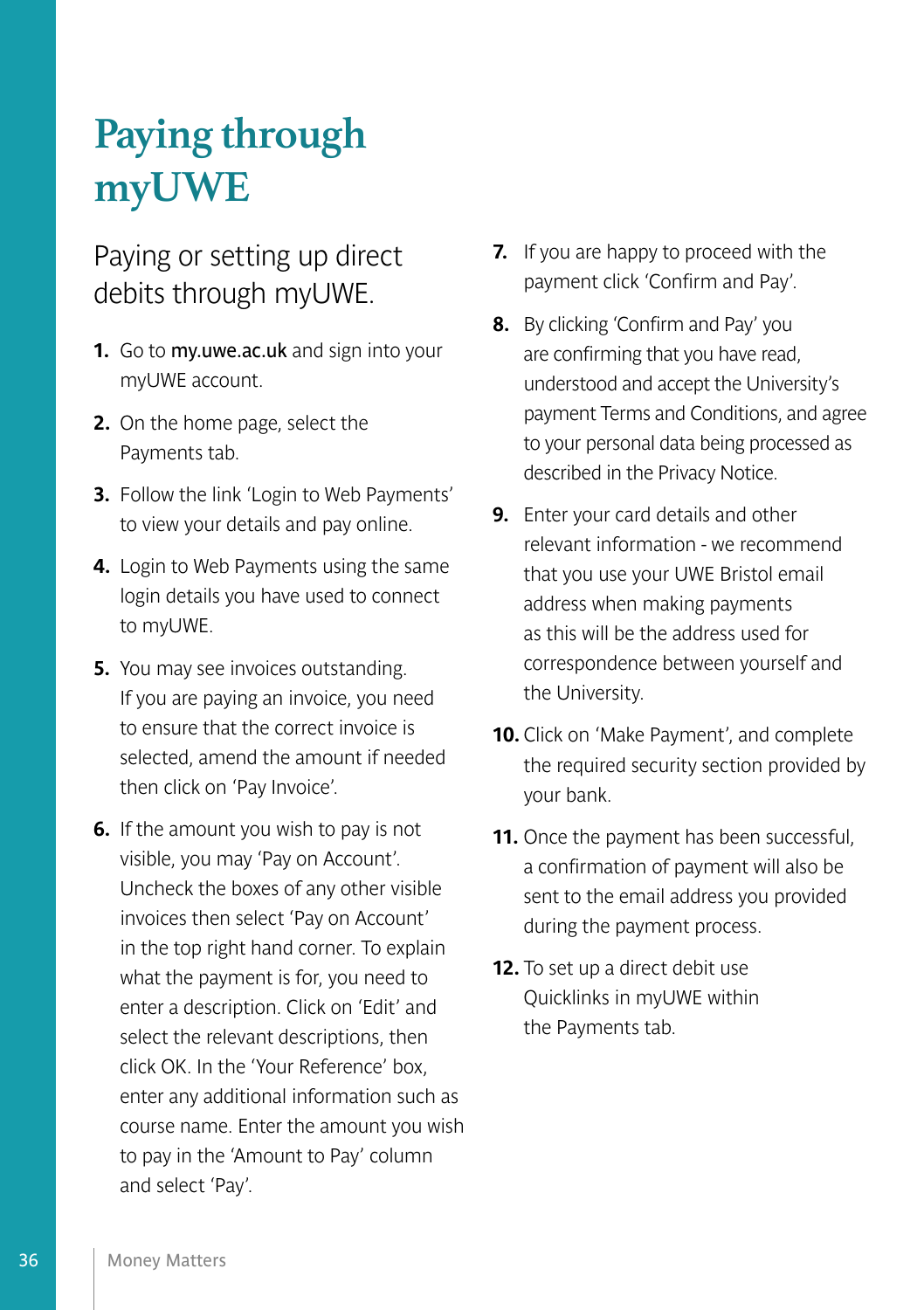## **Paying through myUWE**

**Paying or setting up direct debits through myUWE.** 

- **1. Go to** my.uwe.ac.uk **and sign into your myUWE account.**
- **2. On the home page, select the Payments tab.**
- **3. Follow the link 'Login to Web Payments' to view your details and pay online.**
- **4. Login to Web Payments using the same login details you have used to connect to myUWE.**
- **5. You may see invoices outstanding. If you are paying an invoice, you need to ensure that the correct invoice is selected, amend the amount if needed then click on 'Pay Invoice'.**
- **6. If the amount you wish to pay is not visible, you may 'Pay on Account'. Uncheck the boxes of any other visible invoices then select 'Pay on Account' in the top right hand corner. To explain what the payment is for, you need to enter a description. Click on 'Edit' and select the relevant descriptions, then click OK. In the 'Your Reference' box, enter any additional information such as course name. Enter the amount you wish to pay in the 'Amount to Pay' column and select 'Pay'.**
- **7. If you are happy to proceed with the payment click 'Confirm and Pay'.**
- **8. By clicking 'Confirm and Pay' you are confirming that you have read, understood and accept the University's payment Terms and Conditions, and agree to your personal data being processed as described in the Privacy Notice.**
- **9. Enter your card details and other relevant information - we recommend that you use your UWE Bristol email address when making payments as this will be the address used for correspondence between yourself and the University.**
- **10. Click on 'Make Payment', and complete the required security section provided by your bank.**
- **11. Once the payment has been successful, a confirmation of payment will also be sent to the email address you provided during the payment process.**
- **12. To set up a direct debit use Quicklinks in myUWE within the Payments tab.**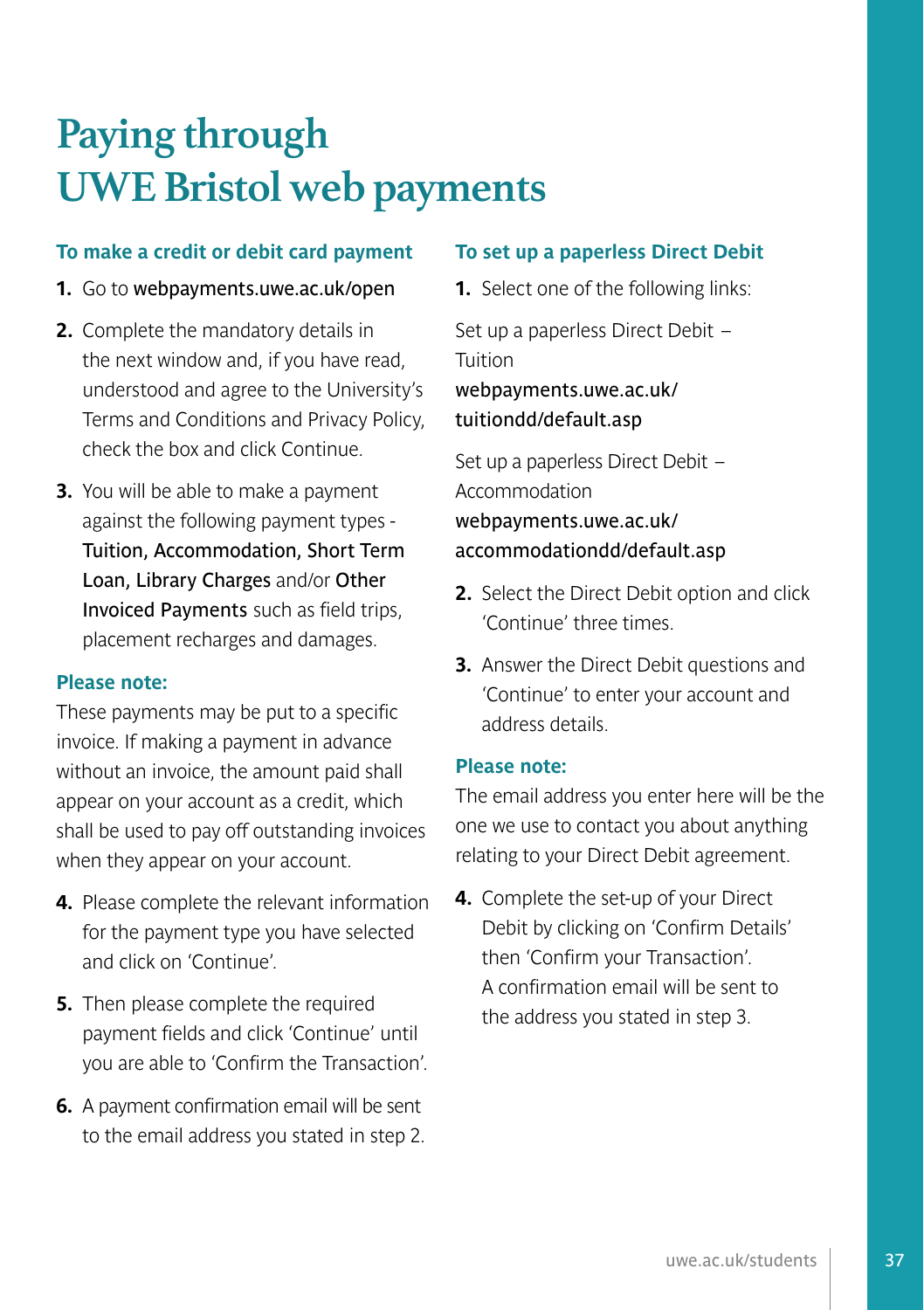# **Paying through UWE Bristol web payments**

#### **To make a credit or debit card payment**

- **1. Go to** webpayments.uwe.ac.uk/open
- **2. Complete the mandatory details in the next window and, if you have read, understood and agree to the University's Terms and Conditions and Privacy Policy, check the box and click Continue.**
- **3. You will be able to make a payment against the following payment types -** Tuition, Accommodation, Short Term Loan, Library Charges **and/or** Other Invoiced Payments **such as field trips, placement recharges and damages.**

#### **Please note:**

**These payments may be put to a specific invoice. If making a payment in advance without an invoice, the amount paid shall appear on your account as a credit, which shall be used to pay off outstanding invoices when they appear on your account.**

- **4. Please complete the relevant information for the payment type you have selected and click on 'Continue'.**
- **5. Then please complete the required payment fields and click 'Continue' until you are able to 'Confirm the Transaction'.**
- **6. A payment confirmation email will be sent to the email address you stated in step 2.**

### **To set up a paperless Direct Debit**

**1. Select one of the following links:**

**Set up a paperless Direct Debit – Tuition** webpayments.uwe.ac.uk/ tuitiondd/default.asp

**Set up a paperless Direct Debit – Accommodation** webpayments.uwe.ac.uk/ accommodationdd/default.asp

- **2. Select the Direct Debit option and click 'Continue' three times.**
- **3. Answer the Direct Debit questions and 'Continue' to enter your account and address details.**

#### **Please note:**

**The email address you enter here will be the one we use to contact you about anything relating to your Direct Debit agreement.**

**4. Complete the set-up of your Direct Debit by clicking on 'Confirm Details' then 'Confirm your Transaction'. A confirmation email will be sent to the address you stated in step 3.**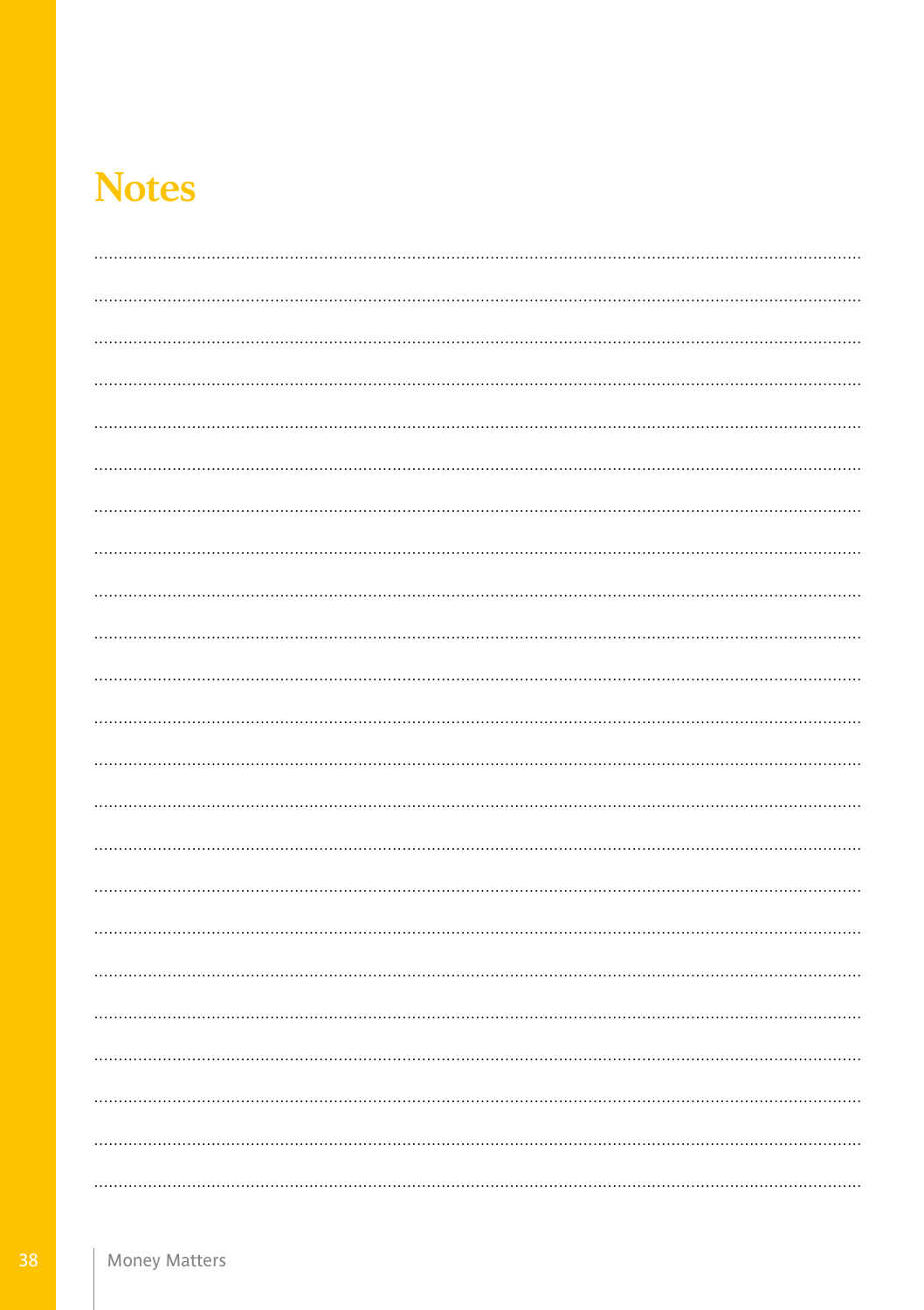## **Notes**